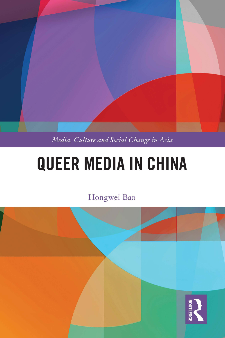Media, Culture and Social Change in Asia

# **QUEER MEDIA IN CHINA**

Hongwei Bao

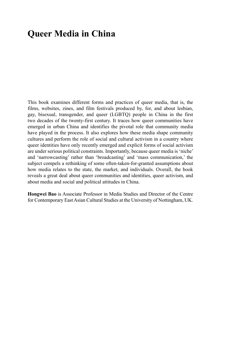# **Queer Media in China**

This book examines different forms and practices of queer media, that is, the films, websites, zines, and film festivals produced by, for, and about lesbian, gay, bisexual, transgender, and queer (LGBTQ) people in China in the first two decades of the twenty-first century. It traces how queer communities have emerged in urban China and identifies the pivotal role that community media have played in the process. It also explores how these media shape community cultures and perform the role of social and cultural activism in a country where queer identities have only recently emerged and explicit forms of social activism are under serious political constraints. Importantly, because queer media is 'niche' and 'narrowcasting' rather than 'broadcasting' and 'mass communication,' the subject compels a rethinking of some often-taken-for-granted assumptions about how media relates to the state, the market, and individuals. Overall, the book reveals a great deal about queer communities and identities, queer activism, and about media and social and political attitudes in China.

**Hongwei Bao** is Associate Professor in Media Studies and Director of the Centre for Contemporary East Asian Cultural Studies at the University of Nottingham, UK.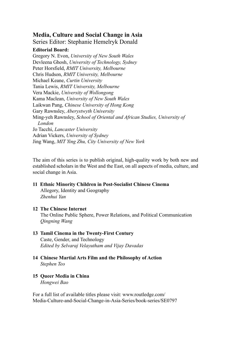### **Media, Culture and Social Change in Asia**

Series Editor: Stephanie Hemelryk Donald

#### **Editorial Board:**

Gregory N. Evon, *University of New South Wales*  Devleena Ghosh, *University of Technology, Sydney*  Peter Horsfield, *RMIT University, Melbourne*  Chris Hudson, *RMIT University, Melbourne*  Michael Keane, *Curtin University*  Tania Lewis, *RMIT University, Melbourne*  Vera Mackie, *University of Wollongong*  Kama Maclean, *University of New South Wales*  Laikwan Pang, *Chinese University of Hong Kong*  Gary Rawnsley, *Aberystwyth University*  Ming-yeh Rawnsley, *School of Oriental and African Studies, University of London*  Jo Tacchi, *Lancaster University*  Adrian Vickers, *University of Sydney*  Jing Wang, *MIT Ying Zhu, City University of New York* 

The aim of this series is to publish original, high-quality work by both new and established scholars in the West and the East, on all aspects of media, culture, and social change in Asia.

#### **11 Ethnic Minority Children in Post-Socialist Chinese Cinema**

Allegory, Identity and Geography *Zhenhui Yan*

#### **12 The Chinese Internet**

The Online Public Sphere, Power Relations, and Political Communication  *Qingning Wang* 

#### **13 Tamil Cinema in the Twenty-First Century**  Caste, Gender, and Technology

*Edited by Selvaraj Velayutham and Vijay Davadas* 

#### **14 Chinese Martial Arts Film and the Philosophy of Action**   *Stephen Teo*

#### **15 Queer Media in China**

 *Hongwei Bao* 

For a full list of available titles please visit[: www.routledge.com/](http://www.routledge.com/Media-Culture-and-Social-Change-in-Asia-Series/book-series/SE0797) [Media-Culture-and-Social-Change-in-Asia-Series/book-series/SE0797](http://www.routledge.com/Media-Culture-and-Social-Change-in-Asia-Series/book-series/SE0797)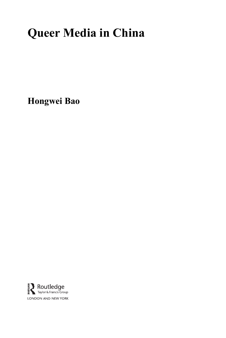# **Queer Media in China**

**Hongwei Bao** 

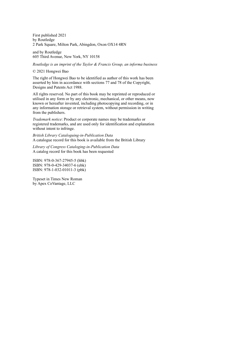First published 2021 by Routledge 2 Park Square, Milton Park, Abingdon, Oxon OX14 4RN

and by Routledge 605 Third Avenue, New York, NY 10158

*Routledge is an imprint of the Taylor & Francis Group, an informa business* 

© 2021 Hongwei Bao

The right of Hongwei Bao to be identified as author of this work has been asserted by him in accordance with sections 77 and 78 of the Copyright, Designs and Patents Act 1988.

All rights reserved. No part of this book may be reprinted or reproduced or utilised in any form or by any electronic, mechanical, or other means, now known or hereafter invented, including photocopying and recording, or in any information storage or retrieval system, without permission in writing from the publishers.

*Trademark notice*: Product or corporate names may be trademarks or registered trademarks, and are used only for identification and explanation without intent to infringe.

*British Library Cataloguing-in-Publication Data*  A catalogue record for this book is available from the British Library

*Library of Congress Cataloging-in-Publication Data*  A catalog record for this book has been requested

ISBN: 978-0-367-27945-5 (hbk) ISBN: 978-0-429-34037-6 (ebk) ISBN: 978-1-032-01011-3 (pbk)

Typeset in Times New Roman by Apex CoVantage, LLC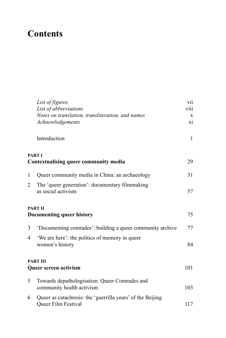# **Contents**

|   | List of figures                                                                   | V11          |
|---|-----------------------------------------------------------------------------------|--------------|
|   | List of abbreviations                                                             | viii         |
|   | Notes on translation, transliteration, and names                                  | $\mathbf x$  |
|   | Acknowledgements                                                                  | xi           |
|   | Introduction                                                                      | $\mathbf{1}$ |
|   | <b>PART I</b><br>Contextualising queer community media                            | 29           |
| 1 | Queer community media in China: an archaeology                                    | 31           |
| 2 | The 'queer generation': documentary filmmaking<br>as social activism              | 57           |
|   | <b>PART II</b><br><b>Documenting queer history</b>                                | 75           |
| 3 | 'Documenting comrades': building a queer community archive                        | 77           |
| 4 | 'We are here': the politics of memory in queer<br>women's history                 | 84           |
|   | <b>PART III</b><br>Queer screen activism                                          | 101          |
| 5 | Towards depathologisation: Queer Comrades and<br>community health activism        | 103          |
| 6 | Queer as catachresis: the 'guerrilla years' of the Beijing<br>Queer Film Festival | 117          |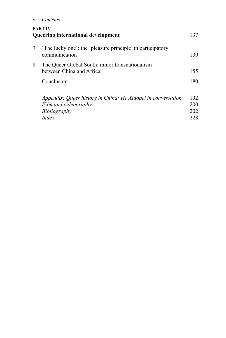#### vi *Contents*

| <b>PART IV</b><br>Queering international development |                                                                                                               | 137                      |
|------------------------------------------------------|---------------------------------------------------------------------------------------------------------------|--------------------------|
|                                                      | 'The lucky one': the 'pleasure principle' in participatory<br>communication                                   | 139                      |
| 8                                                    | The Queer Global South: minor transnationalism<br>between China and Africa                                    | 155                      |
|                                                      | Conclusion                                                                                                    | 180                      |
|                                                      | Appendix: Queer history in China: He Xiaopei in conversation<br>Film and videography<br>Bibliography<br>Index | 192<br>200<br>202<br>228 |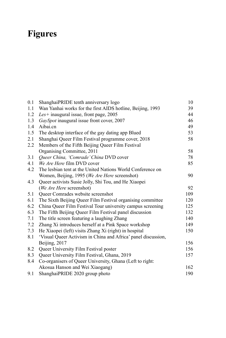# **[Figures](#page--1-0)**

| 0.1 | ShanghaiPRIDE tenth anniversary logo                          | 10  |
|-----|---------------------------------------------------------------|-----|
| 1.1 | Wan Yanhai works for the first AIDS hotline, Beijing, 1993    | 39  |
| 1.2 | $Les+$ inaugural issue, front page, 2005                      | 44  |
| 1.3 | GaySpot inaugural issue front cover, 2007                     | 46  |
| 1.4 | Aibai.cn                                                      | 49  |
| 1.5 | The desktop interface of the gay dating app Blued             | 53  |
| 2.1 | Shanghai Queer Film Festival programme cover, 2018            | 58  |
| 2.2 | Members of the Fifth Beijing Queer Film Festival              |     |
|     | Organising Committee, 2011                                    | 58  |
| 3.1 | Queer China, 'Comrade' China DVD cover                        | 78  |
| 4.1 | We Are Here film DVD cover                                    | 85  |
| 4.2 | The lesbian tent at the United Nations World Conference on    |     |
|     | Women, Beijing, 1995 (We Are Here screenshot)                 | 90  |
| 4.3 | Queer activists Susie Jolly, Shi Tou, and He Xiaopei          |     |
|     | (We Are Here screenshot)                                      | 92  |
| 5.1 | Queer Comrades website screenshot                             | 109 |
| 6.1 | The Sixth Beijing Queer Film Festival organising committee    | 120 |
| 6.2 | China Queer Film Festival Tour university campus screening    | 125 |
| 6.3 | The Fifth Beijing Queer Film Festival panel discussion        | 132 |
| 7.1 | The title screen featuring a laughing Zhang                   | 140 |
| 7.2 | Zhang Xi introduces herself at a Pink Space workshop          | 149 |
| 7.3 | He Xiaopei (left) visits Zhang Xi (right) in hospital         | 150 |
| 8.1 | 'Visual Queer Activism in China and Africa' panel discussion, |     |
|     | Beijing, 2017                                                 | 156 |
| 8.2 | Queer University Film Festival poster                         | 156 |
| 8.3 | Queer University Film Festival, Ghana, 2019                   | 157 |
| 8.4 | Co-organisers of Queer University, Ghana (Left to right:      |     |
|     | Akosua Hanson and Wei Xiaogang)                               | 162 |
| 9.1 | ShanghaiPRIDE 2020 group photo                                | 190 |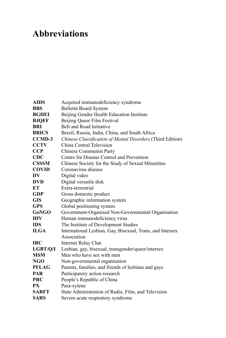# **[Abbreviations](#page--1-0)**

| <b>AIDS</b>   | Acquired immunodeficiency syndrome                         |
|---------------|------------------------------------------------------------|
| <b>BBS</b>    | <b>Bulletin Board System</b>                               |
| <b>BGHEI</b>  | Beijing Gender Health Education Institute                  |
| <b>BJQFF</b>  | Beijing Queer Film Festival                                |
| <b>BRI</b>    | Belt and Road Initiative                                   |
| <b>BRICS</b>  | Brazil, Russia, India, China, and South Africa             |
| <b>CCMD-3</b> | Chinese Classification of Mental Disorders (Third Edition) |
| <b>CCTV</b>   | China Central Television                                   |
| <b>CCP</b>    | <b>Chinese Communist Party</b>                             |
| <b>CDC</b>    | Centre for Disease Control and Prevention                  |
| <b>CSSSM</b>  | Chinese Society for the Study of Sexual Minorities         |
| <b>COVID</b>  | Coronavirus disease                                        |
| DV            | Digital video                                              |
| <b>DVD</b>    | Digital versatile disk                                     |
| EТ            | Extra-terrestrial                                          |
| <b>GDP</b>    | Gross domestic product                                     |
| <b>GIS</b>    | Geographic information system                              |
| <b>GPS</b>    | Global positioning system                                  |
| <b>GoNGO</b>  | Government-Organised Non-Governmental Organisation         |
| <b>HIV</b>    | Human immunodeficiency virus                               |
| <b>IDS</b>    | The Institute of Development Studies                       |
| <b>ILGA</b>   | International Lesbian, Gay, Bisexual, Trans, and Intersex  |
|               | Association                                                |
| <b>IRC</b>    | Internet Relay Chat                                        |
| LGBT/Q/I      | Lesbian, gay, bisexual, transgender/queer/intersex         |
| <b>MSM</b>    | Men who have sex with men                                  |
| NGO           | Non-governmental organisation                              |
| <b>PFLAG</b>  | Parents, families, and friends of lesbians and gays        |
| <b>PAR</b>    | Participatory action research                              |
| <b>PRC</b>    | People's Republic of China                                 |
| PX            | Para-xylene                                                |
| <b>SARFT</b>  | State Administration of Radio, Film, and Television        |
| <b>SARS</b>   | Severe acute respiratory syndrome                          |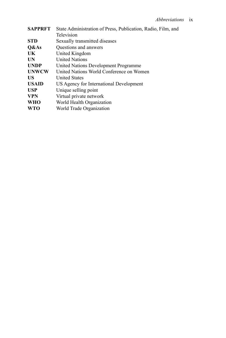| <b>SAPPRFT</b> | State Administration of Press, Publication, Radio, Film, and |
|----------------|--------------------------------------------------------------|
|                | Television                                                   |
| <b>STD</b>     | Sexually transmitted diseases                                |
| O&As           | Questions and answers                                        |
| UK             | United Kingdom                                               |
| UN             | <b>United Nations</b>                                        |
| <b>UNDP</b>    | United Nations Development Programme                         |
| <b>UNWCW</b>   | United Nations World Conference on Women                     |
| US             | <b>United States</b>                                         |
| <b>USAID</b>   | US Agency for International Development                      |
| <b>USP</b>     | Unique selling point                                         |
| <b>VPN</b>     | Virtual private network                                      |
| <b>WHO</b>     | World Health Organization                                    |
| <b>WTO</b>     | World Trade Organization                                     |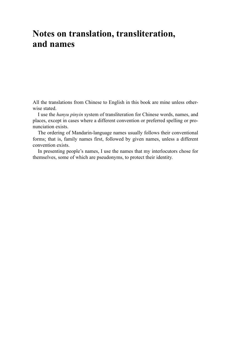# **Notes on translation, transliteration, and names**

All the translations from Chinese to English in this book are mine unless otherwise stated.

 I use the *hanyu pinyin* system of transliteration for Chinese words, names, and places, except in cases where a different convention or preferred spelling or pronunciation exists.

The ordering of Mandarin-language names usually follows their conventional forms; that is, family names first, followed by given names, unless a different convention exists.

In presenting people's names, I use the names that my interlocutors chose for themselves, some of which are pseudonyms, to protect their identity.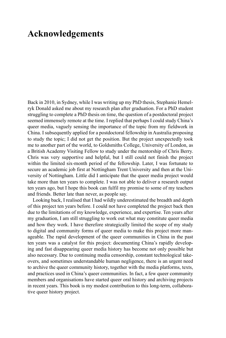### **Acknowledgements**

 take more than ten years to complete. I was not able to deliver a research output Back in 2010, in Sydney, while I was writing up my PhD thesis, Stephanie Hemelryk Donald asked me about my research plan after graduation. For a PhD student struggling to complete a PhD thesis on time, the question of a postdoctoral project seemed immensely remote at the time. I replied that perhaps I could study China's queer media, vaguely sensing the importance of the topic from my fieldwork in China. I subsequently applied for a postdoctoral fellowship in Australia proposing to study the topic; I did not get the position. But the project unexpectedly took me to another part of the world, to Goldsmiths College, University of London, as a British Academy Visiting Fellow to study under the mentorship of Chris Berry. Chris was very supportive and helpful, but I still could not finish the project within the limited six-month period of the fellowship. Later, I was fortunate to secure an academic job first at Nottingham Trent University and then at the University of Nottingham. Little did I anticipate that the queer media project would ten years ago, but I hope this book can fulfil my promise to some of my teachers and friends. Better late than never, as people say.

Looking back, I realised that I had wildly underestimated the breadth and depth of this project ten years before. I could not have completed the project back then due to the limitations of my knowledge, experience, and expertise. Ten years after my graduation, I am still struggling to work out what may constitute queer media and how they work. I have therefore strategically limited the scope of my study to digital and community forms of queer media to make this project more manageable. The rapid development of the queer communities in China in the past ten years was a catalyst for this project: documenting China's rapidly developing and fast disappearing queer media history has become not only possible but also necessary. Due to continuing media censorship, constant technological takeovers, and sometimes understandable human negligence, there is an urgent need to archive the queer community history, together with the media platforms, texts, and practices used in China's queer communities. In fact, a few queer community members and organisations have started queer oral history and archiving projects in recent years. This book is my modest contribution to this long-term, collaborative queer history project.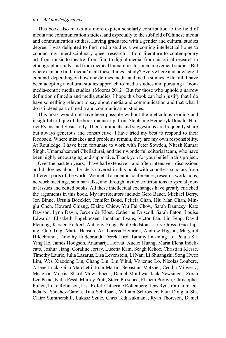media-centric media studies' (Moores 2012 ). But for those who uphold a narrow This book also marks my more explicit scholarly contribution to the field of media and communication studies, and especially to the subfield of Chinese media and communication studies. Having graduated with a gender and cultural studies degree, I was delighted to find media studies a welcoming intellectual home to conduct my interdisciplinary queer research – from literature to contemporary art, from music to theatre, from film to digital media, from historical research to ethnographic study, and from medical humanities to social movement studies. But where can one find 'media'in all these things I study? Everywhere and nowhere, I contend, depending on how one defines media and media studies. After all, I have been adopting a cultural studies approach to media studies and pursuing a 'nondefinition of media and media studies, I hope this book can help justify that I do have something relevant to say about media and communication and that what I do is indeed part of media and communication studies.

This book would not have been possible without the meticulous reading and insightful critique of the book manuscript from Stephanie Hemelryk Donald, Harriet Evans, and Susie Jolly. Their comments and suggestions are frequently sharp but always generous and constructive. I have tried my best to respond to their feedback. Where mistakes and problems remain, they are my own responsibility. At Routledge, I have been fortunate to work with Peter Sowden, Nitesh Kumar Singh, Umamaheswari Chelladurai, and their wonderful editorial team, who have been highly encouraging and supportive. Thank you for your belief in this project.

Over the past ten years, I have had extensive – and often intensive – discussions and dialogues about the ideas covered in this book with countless scholars from different parts of the world. We met at academic conferences, research workshops, network meetings, seminar talks, and through invited contributions to special journal issues and edited books. All these intellectual exchanges have greatly enriched the arguments in this book. My interlocutors include Gero Bauer, Michael Berry, Jon Binne, Ursula Boeckler, Jennifer Bond, Felicia Chan, Hiu Man Chan, Minglu Chen, Howard Chiang, Elaine Chiew, Yiu Fai Chow, Sarah Dauncey, Kate Davison, Lynn Dawn, Jeroen de Kloet, Catherine Driscoll, Sarah Eaton, Louise Edwards, Elisabeth Engebretsen, Jonathan Evans, Victor Fan, Lin Feng, David Fleming, Kirsten Forkert, Anthony Fung, Paul Gladston, Larry Gross, Guo Liping, Guo Ting, Marta Hanson, Ari Larissa Heinrich, Andrew Higson, Margaret Hildebrandt, Timothy Hildebrandt, Derek Hird, Tammy Lai-ming Ho, Petula Sik Ying Ho, James Hodgson, Anamarija Horvat, Xuelei Huang, Maria Elena Indelicato, Joshua Jiang, Coraline Jortay, Lucetta Kam, Séagh Kehoe, Christian Klesse, Timothy Laurie, Julia Lazarus, Lisa Levenstein, Li Nan, Li Shuangzhi, Song Hwee Lim, Wes Xiaodong Lin, Chang Liu, Liu Yihui, Vivienne Lo, Nicolas Loubere, Arlene Luck, Gina Marchetti, Fran Martin, Sebastian Matzner, Cecilia Milwertz, Meaghan Morris, Sharif Mowlabocus, Daniel Mutibwa, Jack Newsinger, Zoran Lee Pecic, Katja Pessl, Murray Pratt, Steve Presence, Elspeth Probyn, Christopher Pullen, Luke Robinson, Lisa Rofel, Catherine Rottenberg, Jens Rydström, Inmaculada N. Sánchez-García, Tina Schilbach, William Schroeder, Flair Donglai Shi, Claire Summerskill, Lukasz Szulc, Chris Tedjasukmana, Ryan Thoreson, Daniel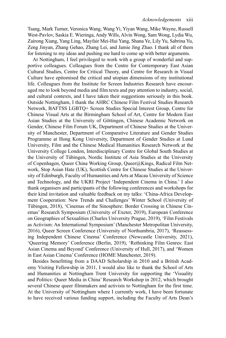Tsang, Mark Turner, Veronica Wang, Wang Yi, Yiyan Wang, Mike Wayne, Russell West-Pavlov, Saskia E. Wieringa, Andy Wills, Alvin Wong, Sam Wong, Lydia Wu, Zairong Xiang, Yang Ling, Mayfair Mei-Hui Yang, Shana Ye, Lily Yu, Sabrina Yu, Zeng Jinyan, Zhang Gehao, Zhang Lei, and Jamie Jing Zhao. I thank all of them for listening to my ideas and pushing me hard to come up with better arguments.

 and Technology, and the UKRI Project 'Independent Cinema in China.' I also At Nottingham, I feel privileged to work with a group of wonderful and supportive colleagues. Colleagues from the Centre for Contemporary East Asian Cultural Studies, Centre for Critical Theory, and Centre for Research in Visual Culture have epitomised the critical and utopian dimensions of my institutional life. Colleagues from the Institute for Screen Industries Research have encouraged me to look beyond media and film texts and pay attention to industry, social, and cultural contexts, and I have taken their suggestions seriously in this book. Outside Nottingham, I thank the AHRC Chinese Film Festival Studies Research Network, BAFTSS LGBTQ+ Screen Studies Special Interest Group, Centre for Chinese Visual Arts at the Birmingham School of Art, Centre for Modern East Asian Studies at the University of Göttingen, Chinese Academic Network on Gender, Chinese Film Forum UK, Department of Chinese Studies at the University of Manchester, Department of Comparative Literature and Gender Studies Programme at Hong Kong University, Department of Gender Studies at Lund University, Film and the Chinese Medical Humanities Research Network at the University College London, Interdisciplinary Centre for Global South Studies at the University of Tübingen, Nordic Institute of Asia Studies at the University of Copenhagen, Queer China Working Group, Queer@Kings, Radical Film Network, Stop Asian Hate (UK), Scottish Centre for Chinese Studies at the University of Edinburgh, Faculty of Humanities and Arts at Macau University of Science thank organisers and participants of the following conferences and workshops for their kind invitation and valuable feedback on my talks: 'China-Africa Development Cooperation: New Trends and Challenges' Winter School (University of Tübingen, 2018), 'Cinemas of the Sinosphere: Border Crossing in Chinese Cinemas' Research Symposium (University of Exeter, 2019), European Conference on Geographies of Sexualities (Charles University Prague, 2019), 'Film Festivals as Activism: An International Symposium' (Manchester Metropolitan University, 2016), Queer Screen Conference (University of Northumbria, 2017), 'Reassessing Independent Chinese Cinema' Conference (Newcastle University, 2021), 'Queering Memory' Conference (Berlin, 2019), 'Rethinking Film Genres: East Asian Cinema and Beyond' Conference (University of Hull, 2017), and 'Women in East Asian Cinema' Conference (HOME Manchester, 2019).

Besides benefitting from a DAAD Scholarship in 2010 and a British Academy Visiting Fellowship in 2011, I would also like to thank the School of Arts and Humanities at Nottingham Trent University for supporting the 'Visuality and Politics: Queer Media in China' Research Workshop in 2012, which brought several Chinese queer filmmakers and activists to Nottingham for the first time. At the University of Nottingham where I currently work, I have been fortunate to have received various funding support, including the Faculty of Arts Dean's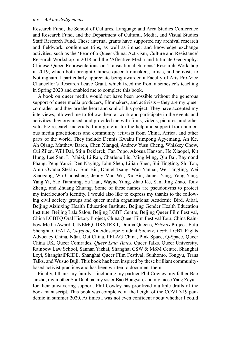Research Fund, the School of Cultures, Language and Area Studies Conference and Research Fund, and the Department of Cultural, Media, and Visual Studies Staff Research Fund. These internal grants have supported my archival research and fieldwork, conference trips, as well as impact and knowledge exchange activities, such as the 'Fear of a Queer China: Activism, Culture and Resistance' Research Workshop in 2018 and the 'Affective Media and Intimate Geography: Chinese Queer Representations on Transnational Screens' Research Workshop in 2019, which both brought Chinese queer filmmakers, artists, and activists to Nottingham. I particularly appreciate being awarded a Faculty of Arts Pro-Vice Chancellor's Research Leave Grant, which freed me from a semester's teaching in Spring 2020 and enabled me to complete this book.

 A book on queer media would not have been possible without the generous Shenghuo, GALZ, *Gayspot*, Kaleidoscope Student Society, *Les+*, LGBT Rights China UK, Queer Comrades, *Queer Lala Times*, Queer Talks, Queer University, Rainbow Law School, Sannan Yizhai, Shanghai CSW & MSM Centre, Shanghai support of queer media producers, filmmakers, and activists – they are my queer comrades, and they are the heart and soul of this project. They have accepted my interviews, allowed me to follow them at work and participate in the events and activities they organised, and provided me with films, videos, pictures, and other valuable research materials. I am grateful for the help and support from numerous media practitioners and community activists from China, Africa, and other parts of the world. They include Dennis Kwaku Frimpong Agyemang, An Ke, Ah Qiang, Matthew Baren, Chen Xiangqi, Andrew Yusu Cheng, Whiskey Chow, Cui Zi'en, Will Dai, Stijn Deklerck, Fan Popo, Akosua Hanson, He Xiaopei, Kit Hung, Lee San, Li Maizi, Li Ran, Charlene Liu, Ming Ming, Qiu Bai, Raymond Phang, Peng Yanzi, Ren Naying, John Shen, Lilian Shen, Shi Tingting, Shi Tou, Amir Ovadia Steklov, Sun Bin, Daniel Tsang, Wan Yanhai, Wei Tingting, Wei Xiaogang, Wu Chunsheng, Jenny Man Wu, Xu Bin, James Yang, Yang Yang, Yang Yi, Yao Tianming, Yu Tian, Wayne Yung, Zhao Ke, Sam Jing Zhao, Tony Zheng, and Zhuang Zhuang. Some of these names are pseudonyms to protect my interlocutor's identity. I would also like to express my thanks to the following civil society groups and queer media organisations: Academic Bird, Aibai, Beijing Aizhixing Health Education Institute, Beijing Gender Health Education Institute, Beijing Lala Salon, Beijing LGBT Centre, Beijing Queer Film Festival, China LGBTQ Oral History Project, China Queer Film Festival Tour, China Rainbow Media Award, CINEMQ, DKSTRKT, Drama Queens, *Friends* Project, Fufu Advocacy China, Nüai, Out China, PFLAG China, Pink Space, Q-Space, Queer Leyi, ShanghaiPRIDE, Shanghai Queer Film Festival, Sunhomo, Tongyu, Trans Talks, and Wusuo Buji. This book has been inspired by these brilliant communitybased activist practices and has been written to document them.

Finally, I thank my family – including my partner Phil Cowley, my father Bao Jinzhu, my mother Shi Duohua, my sister Bao Hongyan, and my niece Yang Zeyu – for their unwavering support. Phil Cowley has proofread multiple drafts of the book manuscript. This book was completed at the height of the COVID-19 pandemic in summer 2020. At times I was not even confident about whether I could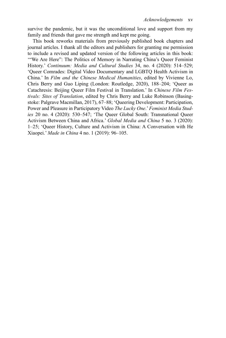survive the pandemic, but it was the unconditional love and support from my family and friends that gave me strength and kept me going.

 History.' *Continuum: Media and Cultural Studies* 34, no. 4 (2020): 514–529; China.' In *Film and the Chinese Medical Humanities*, edited by Vivienne Lo, Catachresis: Beijing Queer Film Festival in Translation.' In *Chinese Film Fes- tivals: Sites of Translation*, edited by Chris Berry and Luke Robinson (Basing- Power and Pleasure in Participatory Video *The Lucky One*.'*Feminist Media Stud-* Activism Between China and Africa.' *Global Media and China* 5 no. 3 (2020): Xiaopei.' *Made in China* 4 no. 1 (2019): 96–105. This book reworks materials from previously published book chapters and journal articles. I thank all the editors and publishers for granting me permission to include a revised and updated version of the following articles in this book: '"We Are Here": The Politics of Memory in Narrating China's Queer Feminist 'Queer Comrades: Digital Video Documentary and LGBTQ Health Activism in Chris Berry and Guo Liping (London: Routledge, 2020), 188–204; 'Queer as stoke: Palgrave Macmillan, 2017), 67–88; 'Queering Development: Participation, *ies* 20 no. 4 (2020): 530–547; 'The Queer Global South: Transnational Queer 1–25; 'Queer History, Culture and Activism in China: A Conversation with He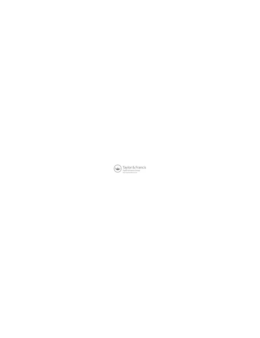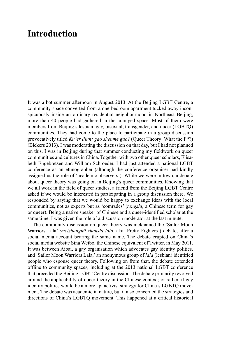### **Introduction**

 communities, not as experts but as 'comrades' (*tongzhi*, a Chinese term for gay It was a hot summer afternoon in August 2013. At the Beijing LGBT Centre, a community space converted from a one-bedroom apartment tucked away inconspicuously inside an ordinary residential neighbourhood in Northeast Beijing, more than 40 people had gathered in the cramped space. Most of them were members from Beijing's lesbian, gay, bisexual, transgender, and queer (LGBTQ) communities. They had come to the place to participate in a group discussion provocatively titled *Ku'er lilun: gao shenme gao*? (Queer Theory: What the F\*?) ( Bickers 2013 ). I was moderating the discussion on that day, but I had not planned on this. I was in Beijing during that summer conducting my fieldwork on queer communities and cultures in China. Together with two other queer scholars, Elisabeth Engebretsen and William Schroeder, I had just attended a national LGBT conference as an ethnographer (although the conference organiser had kindly assigned us the role of 'academic observers'). While we were in town, a debate about queer theory was going on in Beijing's queer communities. Knowing that we all work in the field of queer studies, a friend from the Beijing LGBT Centre asked if we would be interested in participating in a group discussion there. We responded by saying that we would be happy to exchange ideas with the local or queer). Being a native speaker of Chinese and a queer-identified scholar at the same time, I was given the role of a discussion moderator at the last minute.

 Warriors Lala' *(meishangnü zhanshi lala*, aka 'Pretty Fighters') debate, after a and 'Sailor Moon Warriors Lala,' an anonymous group of *lala* (lesbian) identified The community discussion on queer theory was nicknamed the 'Sailor Moon social media account bearing the same name. The debate erupted on China's social media website Sina Weibo, the Chinese equivalent of Twitter, in May 2011. It was between Aibai, a gay organisation which advocates gay identity politics, people who espouse queer theory. Following on from that, the debate extended offline to community spaces, including at the 2013 national LGBT conference that preceded the Beijing LGBT Centre discussion. The debate primarily revolved around the applicability of queer theory in the Chinese context; or rather, if gay identity politics would be a more apt activist strategy for China's LGBTQ movement. The debate was academic in nature, but it also concerned the strategies and directions of China's LGBTQ movement. This happened at a critical historical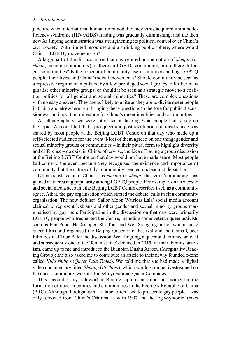#### 2 *Introduction*

juncture when international human immunodeficiency virus/acquired immunodeficiency syndrome (HIV/AIDS) funding was gradually diminishing, and the then new Xi Jinping administration was strengthening its political control over China's civil society. With limited resources and a shrinking public sphere, where would China's LGBTQ movements go?

 A large part of the discussion on that day centred on the notion of *shequn* (or *shequ*, meaning community): is there an LGBTQ community, or are there different communities? Is the concept of community useful in understanding LGBTQ people, their lives, and China's social movements? Should community be seen as a repressive regime manipulated by a few privileged social groups to further marginalise other minority groups, or should it be seen as a strategic move to a coalition politics for all gender and sexual minorities? These are complex questions with no easy answers. They are as likely to unite as they are to divide queer people in China and elsewhere. But bringing these questions to the fore for public discussion was an important milestone for China's queer identities and communities.

As ethnographers, we were interested in hearing what people had to say on the topic. We could tell that a pro-queer and post-identitarian political stance was shared by most people at the Beijing LGBT Centre on that day who made up a self-selected audience for the event. Most of them agreed on one thing: gender and sexual minority groups or communities – in their plural form to highlight diversity and difference – do exist in China; otherwise, the idea of having a group discussion at the Beijing LGBT Centre on that day would not have made sense. Most people had come to the event because they recognised the existence and importance of community, but the nature of that community seemed unclear and debatable.

 Often translated into Chinese as *shequn* or *shequ*, the term 'community' has called *Kula shibao* (*Queer Lala Times*). Wei told me that she had made a digital video documentary titled *Shuang* (*BiChina*), which would soon be livestreamed on gained an increasing popularity among LGBTQ people. For example, on its website and social media account, the Beijing LGBT Centre describes itself as a community space. Aibai, the gay organisation which started the debate, calls itself a community organisation. The now defunct 'Sailor Moon Warriors Lala' social media account claimed to represent lesbians and other gender and sexual minority groups marginalised by gay men. Participating in the discussion on that day were primarily LGBTQ people who frequented the Centre, including some veteran queer activists such as Fan Popo, He Xiaopei, Shi Tou, and Wei Xiaogang, all of whom make queer films and organised the Beijing Queer Film Festival and the China Queer Film Festival Tour. After the discussion, Wei Tingting, a queer and feminist activist and subsequently one of the 'feminist five' detained in 2015 for their feminist activism, came up to me and introduced the Bianbian Dushu Xiaozu (Marginality Reading Group); she also asked me to contribute an article to their newly founded e-zine the queer community website Tongzhi yi Fanren (Queer Comrades).

 (PRC). Although 'hooliganism' – a label often used to prosecute gay people – was only removed from China's Criminal Law in 1997 and the 'ego-syntonic' (*ziwo* This account of my fieldwork in Beijing captures an important moment in the formation of queer identities and communities in the People's Republic of China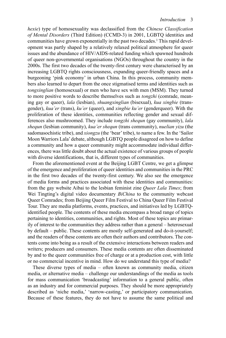*hexie*) type of homosexuality was declassified from the *Chinese Classification tongxinglian* (homosexual) or men who have sex with men (MSM). They turned to more positive words to describe themselves such as *tongzhi* (comrade, mean- ing gay or queer), *lala* (lesbian), *shuangxinglian* (bisexual), *kua xingbie* (trans- gender), *kua'er* (trans), *ku'er* (queer), and *xingbie ku'er* (genderqueer). With the sadomasochistic tribe), and *xiongzu* (the 'bear'tribe), to name a few. In the 'Sailor *of Mental Disorders* (Third Edition) (CCMD-3) in 2001, LGBTQ identities and communities have grown exponentially in the past two decades. 1 This rapid development was partly shaped by a relatively relaxed political atmosphere for queer issues and the abundance of HIV/AIDS-related funding which spawned hundreds of queer non-governmental organisations (NGOs) throughout the country in the 2000s. The first two decades of the twenty-first century were characterised by an increasing LGBTQ rights consciousness, expanding queer-friendly spaces and a burgeoning 'pink economy' in urban China. In this process, community members also learned to depart from the once stigmatised terms and identities such as proliferation of these identities, communities reflecting gender and sexual differences also mushroomed. They include *tongzhi shequn* (gay community), *lala shequn* (lesbian community), *kua'er shequn* (trans community), *nuelian yizu* (the Moon Warriors Lala' debate, although LGBTQ people disagreed on how to define a community and how a queer community might accommodate individual differences, there was little doubt about the actual existence of various groups of people with diverse identifications, that is, different types of communities.

 from the gay website Aibai to the lesbian feminist zine *Queer Lala Times*; from Wei Tingting's digital video documentary *BiChina* to the community webcast From the aforementioned event at the Beijing LGBT Centre, we get a glimpse of the emergence and proliferation of queer identities and communities in the PRC in the first two decades of the twenty-first century. We also see the emergence of media forms and practices associated with these identities and communities: Queer Comrades; from Beijing Queer Film Festival to China Queer Film Festival Tour. They are media platforms, events, practices, and initiatives led by LGBTQidentified people. The contents of these media encompass a broad range of topics pertaining to identities, communities, and rights. Most of these topics are primarily of interest to the communities they address rather than a general – heterosexual by default – public. These contents are mostly self-generated and do-it-yourself; and the readers of these contents are often their authors and contributors. The contents come into being as a result of the extensive interactions between readers and writers; producers and consumers. These media contents are often disseminated by and to the queer communities free of charge or at a production cost, with little or no commercial incentive in mind. How do we understand this type of media?

These diverse types of media – often known as community media, citizen media, or alternative media – challenge our understandings of the media as tools for mass communication 'broadcasting' information to a general public, often as an industry and for commercial purposes. They should be more appropriately described as 'niche media,' 'narrow-casting,' or participatory communication. Because of these features, they do not have to assume the same political and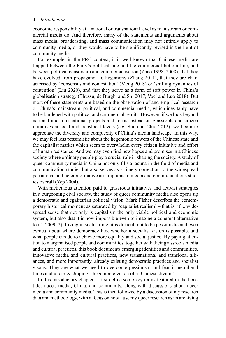economic responsibility at a national or transnational level as mainstream or commercial media do. And therefore, many of the statements and arguments about mass media, broadcasting, and mass communication may not entirely apply to community media, or they would have to be significantly revised in the light of community media.

acterised by 'consensus and contestation' (Meng 2018) or 'shifting dynamics of contention' (Liu 2020), and that they serve as a form of soft power in China's For example, in the PRC context, it is well known that Chinese media are trapped between the Party's political line and the commercial bottom line, and between political censorship and commercialisation (Zhao 1998, 2008), that they have evolved from propaganda to hegemony (Zhang 2011), that they are charglobalisation strategy ( Thussu, de Burgh, and Shi 2017 ; Voci and Luo 2018 ). But most of these statements are based on the observation of and empirical research on China's mainstream, political, and commercial media, which inevitably have to be burdened with political and commercial remits. However, if we look beyond national and transnational projects and focus instead on grassroots and citizen initiatives at local and translocal levels (e.g. Sun and Chio 2012), we begin to appreciate the diversity and complexity of China's media landscape. In this way, we may feel less pessimistic about the hegemonic powers of the Chinese state and the capitalist market which seem to overwhelm every citizen initiative and effort of human resistance. And we may even find new hopes and promises in a Chinese society where ordinary people play a crucial role in shaping the society. A study of queer community media in China not only fills a lacuna in the field of media and communication studies but also serves as a timely correction to the widespread patriarchal and heteronormative assumptions in media and communications studies overall (Yep 2004).

 porary historical moment as saturated by 'capitalist realism' – that is, 'the wide-With meticulous attention paid to grassroots initiatives and activist strategies in a burgeoning civil society, the study of queer community media also opens up a democratic and egalitarian political vision. Mark Fisher describes the contemspread sense that not only is capitalism the only viable political and economic system, but also that it is now impossible even to imagine a coherent alternative to it' (2009: 2). Living in such a time, it is difficult not to be pessimistic and even cynical about where democracy lies, whether a socialist vision is possible, and what people can do to achieve more equality and social justice. By paying attention to marginalised people and communities, together with their grassroots media and cultural practices, this book documents emerging identities and communities, innovative media and cultural practices, new transnational and translocal alliances, and more importantly, already existing democratic practices and socialist visons. They are what we need to overcome pessimism and fear in neoliberal times and under Xi Jinping's hegemonic vision of a 'Chinese dream.'

In this introductory chapter, I first define some key terms featured in the book title: queer, media, China, and community, along with discussions about queer media and community media. This is then followed by a discussion of my research data and methodology, with a focus on how I use my queer research as an archiving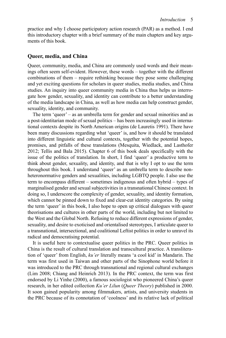practice and why I choose participatory action research (PAR) as a method. I end this introductory chapter with a brief summary of the main chapters and key arguments of this book.

#### **Queer, media, and China**

Queer, community, media, and China are commonly used words and their meanings often seem self-evident. However, these words – together with the different combinations of them – require rethinking because they pose some challenging and yet exciting questions for scholars in queer studies, media studies, and China studies. An inquiry into queer community media in China thus helps us interrogate how gender, sexuality, and identity can contribute to a better understanding of the media landscape in China, as well as how media can help construct gender, sexuality, identity, and community.

2012; Tellis and Bala 2015). Chapter 6 of this book deals specifically with the The term 'queer' – as an umbrella term for gender and sexual minorities and as a post-identitarian mode of sexual politics – has been increasingly used in international contexts despite its North American origins ( de Lauretis 1991 ). There have been many discussions regarding what 'queer' is, and how it should be translated into different linguistic and cultural contexts, together with the potential hopes, promises, and pitfalls of these translations (Mesquita, Wiedlack, and Lasthofer issue of the politics of translation. In short, I find 'queer' a productive term to think about gender, sexuality, and identity, and that is why I opt to use the term throughout this book. I understand 'queer' as an umbrella term to describe nonheteronormative genders and sexualities, including LGBTQ people. I also use the term to encompass different – sometimes indigenous and often hybrid – types of marginalised gender and sexual subjectivities in a transnational Chinese context. In doing so, I underscore the complexity of gender, sexuality, and identity formation, which cannot be pinned down to fixed and clear-cut identity categories. By using the term 'queer' in this book, I also hope to open up critical dialogues with queer theorisations and cultures in other parts of the world, including but not limited to the West and the Global North. Refusing to reduce different expressions of gender, sexuality, and desire to exoticised and orientalised stereotypes, I articulate queer to a transnational, intersectional, and coalitional Leftist politics in order to unravel its radical and democratising potential.

 tion of 'queer' from English, *ku'er* literally means 'a cool kid' in Mandarin. The research, in her edited collection *Ku'er Lilun* (*Queer Theory*) published in 2000. It is useful here to contextualise queer politics in the PRC. Queer politics in China is the result of cultural translation and transcultural practice. A transliteraterm was first used in Taiwan and other parts of the Sinophone world before it was introduced to the PRC through transnational and regional cultural exchanges (Lim 2008; Chiang and Heinrich 2013). In the PRC context, the term was first endorsed by Li Yinhe (2000), a famous sociologist who pioneered China's queer It soon gained popularity among filmmakers, artists, and university students in the PRC because of its connotation of 'coolness' and its relative lack of political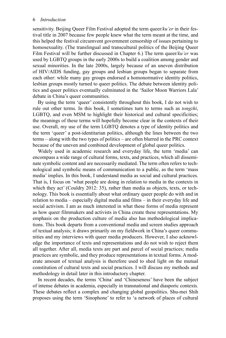#### 6 *Introduction*

sensitivity. Beijing Queer Film Festival adopted the term queer/*ku'er* in their festival title in 2007 because few people knew what the term meant at the time, and this helped the festival circumvent government censorship of issues pertaining to homosexuality. (The translingual and transcultural politics of the Beijing Queer Film Festival will be further discussed in Chapter 6 .) The term queer/*ku'er* was used by LGBTQ groups in the early 2000s to build a coalition among gender and sexual minorities. In the late 2000s, largely because of an uneven distribution of HIV/AIDS funding, gay groups and lesbian groups began to separate from each other: while many gay groups endorsed a homonormative identity politics, lesbian groups mostly turned to queer politics. The debate between identity politics and queer politics eventually culminated in the 'Sailor Moon Warriors Lala' debate in China's queer communities.

By using the term 'queer' consistently throughout this book, I do not wish to rule out other terms. In this book, I sometimes turn to terms such as *tongzhi*, LGBTQ, and even MSM to highlight their historical and cultural specificities; the meanings of these terms will hopefully become clear in the contexts of their use. Overall, my use of the term LGBTQ denotes a type of identity politics and the term 'queer' a post-identitarian politics, although the lines between the two terms – along with the two types of politics – are often blurred in the PRC context because of the uneven and combined development of global queer politics.

which they act' (Couldry 2012: 35), rather than media as objects, texts, or tech-Widely used in academic research and everyday life, the term 'media' can encompass a wide range of cultural forms, texts, and practices, which all disseminate symbolic content and are necessarily mediated. The term often refers to technological and symbolic means of communication to a public, as the term 'mass media' implies. In this book, I understand media as social and cultural practices. That is, I focus on 'what people are doing in relation to media in the contexts in nology. This book is essentially about what ordinary queer people do with and in relation to media – especially digital media and films – in their everyday life and social activism. I am as much interested in what these forms of media represent as how queer filmmakers and activists in China create these representations. My emphasis on the production culture of media also has methodological implications. This book departs from a conventional media and screen studies approach of textual analysis; it draws primarily on my fieldwork in China's queer communities and my interviews with queer media producers. However, I also acknowledge the importance of texts and representations and do not wish to reject them all together. After all, media texts are part and parcel of social practices; media practices are symbolic, and they produce representations in textual forms. A moderate amount of textual analysis is therefore used to shed light on the mutual constitution of cultural texts and social practices. I will discuss my methods and methodology in detail later in this introductory chapter.

In recent decades, the terms 'China' and 'Chineseness' have been the subject of intense debates in academia, especially in transnational and diasporic contexts. These debates reflect a complex and changing global geopolitics. Shu-mei Shih proposes using the term 'Sinophone' to refer to 'a network of places of cultural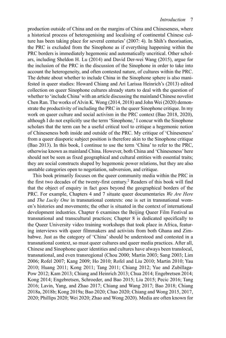Chen Ran. The works of Alvin K. Wong (2014, 2018) and John Wei (2020) demon- although I do not explicitly use the term 'Sinophone,'I concur with the Sinophone production outside of China and on the margins of China and Chineseness, where a historical process of heterogenising and localising of continental Chinese culture has been taking place for several centuries' (2007: 4). In Shih's theorisation, the PRC is excluded from the Sinophone as if everything happening within the PRC borders is immediately hegemonic and automatically uncritical. Other scholars, including Sheldon H. Lu (2014) and David Der-wei Wang (2015), argue for the inclusion of the PRC in the discussion of the Sinophone in order to take into account the heterogeneity, and often contested nature, of cultures within the PRC. The debate about whether to include China in the Sinophone sphere is also manifested in queer studies: Howard Chiang and Ari Larissa Heinrich's (2013) edited collection on queer Sinophone cultures already starts to deal with the question of whether to 'include China'with an article discussing the mainland Chinese novelist strate the productivity of including the PRC in the queer Sinophone critique. In my work on queer culture and social activism in the PRC context (Bao 2018, 2020), scholars that the term can be a useful critical tool to critique a hegemonic notion of Chineseness both inside and outside of the PRC. My critique of 'Chineseness' from a queer diasporic subject position is therefore akin to the Sinophone critique (Bao 2013). In this book, I continue to use the term 'China' to refer to the PRC, otherwise known as mainland China. However, both China and 'Chineseness' here should not be seen as fixed geographical and cultural entities with essential traits; they are social constructs shaped by hegemonic power relations, but they are also unstable categories open to negotiation, subversion, and critique.

 PRC. For example, Chapters 4 and 7 situate queer documentaries *We Are Here*  development industries. Chapter 6 examines the Beijing Queer Film Festival as transnational and transcultural practices; Chapter 8 is dedicated specifically to transnational, and even transregional (Chou 2000; Martin 2003; Sang 2003; Lim 2006; Rofel 2007; Kang 2009; Ho 2010; Rofel and Liu 2010; Martin 2010; Yau 2010; Huang 2011; Kong 2011; Tang 2011; Chiang 2012; Yue and Zubillaga-Pow 2012; Kam 2013; Chiang and Heinrich 2013; Chua 2014; Engebretsen 2014; Kong 2014; Engebretsen, Schroeder, and Bao 2015; Liu 2015; Pecic 2016; Tang 2016; Lavin, Yang, and Zhao 2017; Chiang and Wang 2017; Bao 2018; Chiang 2018a, 2018b; Kong 2019a; Bao 2020; Chao 2020; Chiang and Wong 2015, 2017, 2020; Phillips 2020; Wei 2020; Zhao and Wong 2020). Media are often known for This book primarily focuses on the queer community media within the PRC in the first two decades of the twenty-first century.<sup>2</sup> Readers of this book will find that the object of enquiry in fact goes beyond the geographical borders of the and *The Lucky One* in transnational contexts: one is set in transnational women's histories and movements; the other is situated in the context of international the Queer University video training workshops that took place in Africa, featuring interviews with queer filmmakers and activists from both Ghana and Zimbabwe. Just as the category of 'China' should be understood and contested in a transnational context, so must queer cultures and queer media practices. After all, Chinese and Sinophone queer identities and cultures have always been translocal,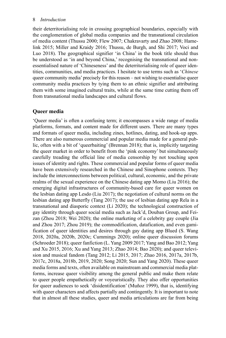#### 8 *Introduction*

link 2015; Miller and Kraidy 2016; Thussu, de Burgh, and Shi 2017; Voci and their deterritorialising role in crossing geographical boundaries, especially with the conglomeration of global media companies and the transnational circulation of media content (Thussu 2000; Flew 2007; Chakravarty and Zhao 2008; Hame-Luo 2018). The geographical signifier 'in China' in the book title should thus be understood as 'in and beyond China,' recognising the transnational and nonessentialised nature of 'Chineseness' and the deterritorialising role of queer identities, communities, and media practices. I hesitate to use terms such as '*Chinese*  queer community media' precisely for this reason – not wishing to essentialise queer community media practices by tying them to an ethnic signifier and attributing them with some imagined cultural traits, while at the same time cutting them off from transnational media landscapes and cultural flows.

#### **Queer media**

 lic, often with a bit of 'queerbaiting' (Brennan 2018 ); that is, implicitly targeting fication of queer identities and desires through gay dating app Blued (S. Wang 2018, 2020a, 2020b, 2020c; Cummings 2020); online queer discussion forums (Schroeder 2018); queer fanfiction (L. Yang 2009 2017; Yang and Bao 2012; Yang sion and musical fandom (Tang 2012; Li 2015, 2017; Zhao 2016, 2017a, 2017b, 2017c, 2018a, 2018b, 2019, 2020; Song 2020; Sun and Yang 2020). These queer for queer audiences to seek 'disidentification' (Muñoz 1999), that is, identifying 'Queer media' is often a confusing term; it encompasses a wide range of media platforms, formats, and content made for different users. There are many types and formats of queer media, including zines, hotlines, dating, and hook-up apps. There are also numerous commercial and popular media made for a general pubthe queer market in order to benefit from the 'pink economy' but simultaneously carefully treading the official line of media censorship by not touching upon issues of identity and rights. These commercial and popular forms of queer media have been extensively researched in the Chinese and Sinophone contexts. They include the interconnections between political, cultural, economic, and the private realms of the sexual experience on the Chinese dating app Momo (Liu 2016); the emerging digital infrastructures of community-based care for queer women on the lesbian dating app Lesdo ( Liu 2017 ); the negotiation of cultural norms on the lesbian dating app Butterfly (Tang 2017); the use of lesbian dating app Rela in a transnational and diasporic context (Li 2020); the technological construction of gay identity through queer social media such as Jack'd, Douban Group, and Feizan (Zhou 2018; Wei 2020); the online marketing of a celebrity gay couple (Jia and Zhou 2017; Zhou 2019); the commodification, datafication, and even gamiand Xu 2015, 2016; Xu and Yang 2013; Zhao 2014; Bao 2020); and queer televimedia forms and texts, often available on mainstream and commercial media platforms, increase queer visibility among the general public and make them relate to queer people empathetically or voyeuristically. They also offer opportunities with queer characters and affects partially and contingently. It is important to note that in almost all these studies, queer and media articulations are far from being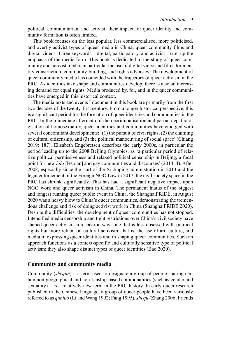political, communitarian, and activist; their impact for queer identity and community formation is often limited.

This book focuses on the less popular, less commercialised, more politicised, and overtly activist types of queer media in China: queer community films and digital videos. Three keywords – digital, participatory, and activist – sum up the emphasis of the media form. This book is dedicated to the study of queer community and activist media, in particular the use of digital video and films for identity construction, community-building, and rights advocacy. The development of queer community media has coincided with the trajectory of queer activism in the PRC. As identities take shape and communities develop, there is also an increasing demand for equal rights. Media produced by, for, and in the queer communities have emerged in this historical context.

 of cultural citizenship, and (3) the political manoeuvring of social space'(Chiang point for new *lala* [lesbian] and gay communities and discourses' (2014: 4). After The media texts and events I document in this book are primarily from the first two decades of the twenty-first century. From a longer historical perspective, this is a significant period for the formation of queer identities and communities in the PRC. In the immediate aftermath of the decriminalisation and partial depathologisation of homosexuality, queer identities and communities have emerged with several concomitant developments: '(1) the pursuit of civil rights, (2) the claiming 2019: 187). Elisabeth Engebretsen describes the early 2000s, in particular the period leading up to the 2008 Beijing Olympics, as 'a particular period of relative political permissiveness and relaxed political censorship in Beijing, a focal 2008, especially since the start of the Xi Jinping administration in 2013 and the legal enforcement of the Foreign NGO Law in 2017, the civil society space in the PRC has shrunk significantly. This has had a significant negative impact upon NGO work and queer activism in China. The permanent hiatus of the biggest and longest running queer public event in China, the ShanghaiPRIDE, in August 2020 was a heavy blow to China's queer communities, demonstrating the tremendous challenge and risk of doing activist work in China ( ShanghaiPRIDE 2020 ). Despite the difficulties, the development of queer communities has not stopped. Intensified media censorship and tight restrictions over China's civil society have shaped queer activism in a specific way: one that is less obsessed with political rights but more reliant on cultural activism; that is, the use of art, culture, and media in expressing queer identities and in shaping queer communities. Such an approach functions as a context-specific and culturally sensitive type of political activism; they also shape distinct types of queer identities (Bao 2020).

#### **Community and community media**

Community (*shequn*) – a term used to designate a group of people sharing cer- referred to as *qunluo* ( Li and Wang 1992 ; Fang 1995 ), *shequ* ( Zhang 2006 ; Friends tain non-geographical and non-kinship-based commonalities (such as gender and sexuality) – is a relatively new term in the PRC history. In early queer research published in the Chinese language, a group of queer people have been variously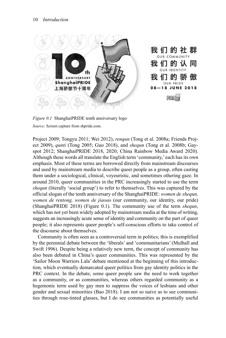

*Figure 0.1* ShanghaiPRIDE tenth anniversary logo *Source:* Screen capture from [shpride.com.](https://shpride.com)

Project 2009; Tongyu 2011; Wei 2012), renqun (Tong et al. 2008a; Friends Project 2009), *qunti* (Tong 2005; Guo 2018), and *shequn* (Tong et al. 2008b; Gayspot 2012; ShanghaiPRIDE 2018, 2020; China Rainbow Media Award 2020). *shequn* (literally 'social group') to refer to themselves. This was captured by the (ShanghaiPRIDE 2018) (Figure 0.1). The community use of the term *shequn*, Although these words all translate the English term 'community,' each has its own emphasis. Most of these terms are borrowed directly from mainstream discourses and used by mainstream media to describe queer people as a group, often casting them under a sociological, clinical, voyeuristic, and sometimes othering gaze. In around 2010, queer communities in the PRC increasingly started to use the term official slogan of the tenth anniversary of the ShanghaiPRIDE: *women de shequn, women de rentong, women de jiaoao* (our community, our identity, our pride) which has not yet been widely adopted by mainstream media at the time of writing, suggests an increasingly acute sense of identity and community on the part of queer people; it also represents queer people's self-conscious efforts to take control of the discourse about themselves.

 by the perennial debate between the 'liberals' and 'communitarians'(Mulhall and Community is often seen as a controversial term in politics; this is exemplified Swift 1996). Despite being a relatively new term, the concept of community has also been debated in China's queer communities. This was represented by the 'Sailor Moon Warriors Lala' debate mentioned at the beginning of this introduction, which eventually demarcated queer politics from gay identity politics in the PRC context. In the debate, some queer people saw the need to work together as a community, or as communities, whereas others regarded community as a hegemonic term used by gay men to suppress the voices of lesbians and other gender and sexual minorities (Bao 2018). I am not so naive as to see communities through rose-tinted glasses, but I do see communities as potentially useful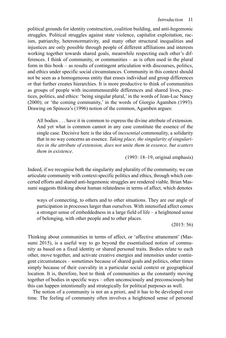political grounds for identity construction, coalition building, and anti-hegemonic struggles. Political struggles against state violence, capitalist exploitation, racism, patriarchy, heteronormativity, and many other structural inequalities and injustices are only possible through people of different affiliations and interests working together towards shared goals, meanwhile respecting each other's differences. I think of community, or communities – as is often used in the plural form in this book – as results of contingent articulation with discourses, politics, and ethics under specific social circumstances. Community in this context should not be seen as a homogeneous entity that erases individual and group differences or that further creates hierarchies. It is more productive to think of communities as groups of people with incommensurable differences and shared lives, practices, politics, and ethics: 'being singular plural,'in the words of Jean-Luc Nancy (2000); or 'the coming community,' in the words of Giorgio Agamben (1993). Drawing on Spinoza's (1996) notion of the common, Agamben argues:

 single case. Decisive here is the idea of *inessential* commonality, a solidarity All bodies . . . have it in common to express the divine attribute of extension. And yet what is common cannot in any case constitute the essence of the that in no way concerns an essence. *Taking place, the singularity of singularities in the attribute of extension, does not unite them in essence, but scatters them in existence*.

(1993 : 18–19, original emphasis)

Indeed, if we recognise both the singularity and plurality of the community, we can articulate community with context-specific politics and ethics, through which concerted efforts and shared anti-hegemonic struggles are rendered viable. Brian Massumi suggests thinking about human relatedness in terms of affect, which denotes

ways of connecting, to others and to other situations. They are our angle of participation in processes larger than ourselves. With intensified affect comes a stronger sense of embeddedness in a large field of life – a heightened sense of belonging, with other people and to other places.

 $(2015:56)$ 

 Thinking about communities in terms of affect, or 'affective attunement' (Massumi 2015), is a useful way to go beyond the essentialised notion of community as based on a fixed identity or shared personal traits. Bodies relate to each other, move together, and activate creative energies and intensities under contingent circumstances – sometimes because of shared goals and politics, other times simply because of their coevality in a particular social context or geographical location. It is, therefore, best to think of communities as the constantly moving together of bodies in specific ways – often unconsciously and preconsciously but this can happen intentionally and strategically for political purposes as well.

The notion of a community is not an a priori, and it has to be developed over time. The feeling of community often involves a heightened sense of personal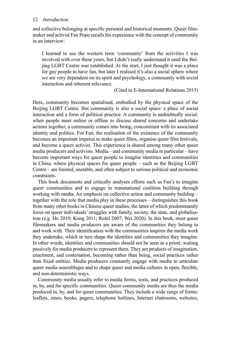#### 12 *Introduction*

and collective belonging at specific personal and historical moments. Queer filmmaker and activist Fan Popo recalls his experience with the concept of community in an interview:

 I learned to use the western term 'community' from the activities I was involved with over these years, but I didn't really understand it until the Beijing LGBT Centre was established. At the start, I just thought it was a place for gay people to have fun, but later I realised it's also a social sphere where we are very dependent on its spirit and psychology, a community with social interaction and inherent relevance.

(Cited in E-International Relations 2015 )

Here, community becomes spatialised, embodied by the physical space of the Beijing LGBT Centre. But community is also a social space: a place of social interaction and a form of political practice. A community is undoubtedly social: when people meet online or offline to discuss shared concerns and undertake actions together, a community comes into being, concomitant with its associated identity and politics. For Fan, the realisation of the existence of the community becomes an important impetus to make queer films, organise queer film festivals, and become a queer activist. This experience is shared among many other queer media producers and activists. Media – and community media in particular – have become important ways for queer people to imagine identities and communities in China, where physical spaces for queer people – such as the Beijing LGBT Centre – are limited, unstable, and often subject to serious political and economic constraints.

tion (e.g. Ho 2010; Kong 2011; Rofel 2007; Wei 2020). In this book, most queer This book documents and critically analyses efforts such as Fan's to imagine queer communities and to engage in transnational coalition building through working with media. An emphasis on collective action and community building – together with the role that media play in these processes – distinguishes this book from many other books in Chinese queer studies, the latter of which predominantly focus on queer individuals'struggles with family, society, the state, and globalisafilmmakers and media producers are aware of the communities they belong to and work with. Their identification with the communities inspires the media work they undertake, which in turn shape the identities and communities they imagine. In other words, identities and communities should not be seen as a priori, waiting passively for media producers to represent them. They are products of imagination, enactment, and contestation, becoming rather than being, social practices rather than fixed entities. Media producers constantly engage with media to articulate queer media assemblages and to shape queer and media cultures in open, flexible, and non-deterministic ways.

Community media usually refer to media forms, texts, and practices produced in, by, and for specific communities. Queer community media are thus the media produced in, by, and for queer communities. They include a wide range of forms: leaflets, zines, books, pagers, telephone hotlines, Internet chatrooms, websites,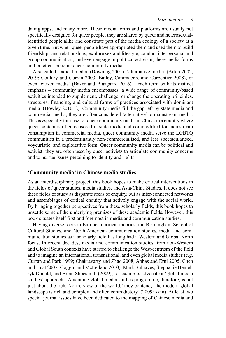dating apps, and many more. These media forms and platforms are usually not specifically designed for queer people; they are shared by queer and heterosexualidentified people alike and constitute part of the media ecology of a society at a given time. But when queer people have appropriated them and used them to build friendships and relationships, explore sex and lifestyle, conduct interpersonal and group communication, and even engage in political activism, these media forms and practices become queer community media.

2019; Couldry and Curran 2003; Bailey, Cammaerts, and Carpentier 2008), or even 'citizen media' (Baker and Blaagaard 2016) – each term with its distinct media' (Howley 2010: 2). Community media fill the gap left by state media and Also called 'radical media' (Downing 2001), 'alternative media' (Atton 2002, emphasis – community media encompasses 'a wide range of community-based activities intended to supplement, challenge, or change the operating principles, structures, financing, and cultural forms of practices associated with dominant commercial media; they are often considered 'alternative' to mainstream media. This is especially the case for queer community media in China: in a country where queer content is often censored in state media and commodified for mainstream consumption in commercial media, queer community media serve the LGBTQ communities in a predominantly non-commercialised, and less spectacularised, voyeuristic, and exploitative form. Queer community media can be political and activist; they are often used by queer activists to articulate community concerns and to pursue issues pertaining to identity and rights.

#### **'Community media' in Chinese media studies**

As an interdisciplinary project, this book hopes to make critical interventions in the fields of queer studies, media studies, and Asia/China Studies. It does not see these fields of study as disparate areas of enquiry, but as inter-connected networks and assemblages of critical enquiry that actively engage with the social world. By bringing together perspectives from these scholarly fields, this book hopes to unsettle some of the underlying premises of these academic fields. However, this book situates itself first and foremost in media and communication studies.

Curran and Park 1999; Chakravarty and Zhao 2008; Abbas and Erni 2005; Chen Having diverse roots in European critical theories, the Birmingham School of Cultural Studies, and North American communication studies, media and communication studies as a scholarly field has long had a Western and Global North focus. In recent decades, media and communication studies from non-Western and Global South contexts have started to challenge the West-centrism of the field and to imagine an international, transnational, and even global media studies (e.g. and Huat 2007; Goggin and McLelland 2010). Mark Balnaves, Stephanie Hemelryk Donald, and Brian Shoesmith (2009 ), for example, advocate a 'global media studies' approach: 'A genuine global media studies programme, therefore, is not just about the rich, North, view of the world,' they contend, 'the modern global landscape is rich and complex and often contradictory' (2009: xviii). At least two special journal issues have been dedicated to the mapping of Chinese media and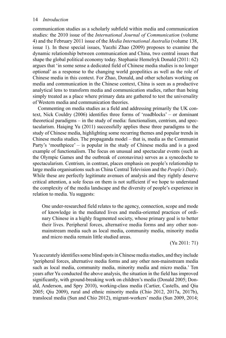#### 14 *Introduction*

communication studies as a scholarly subfield within media and communication studies: the 2010 issue of the *International Journal of Communication* (volume 4) and the February 2011 issue of the *Media International Australia* (volume 138, issue 1). In these special issues, Yuezhi Zhao (2009) proposes to examine the dynamic relationship between communication and China, two central issues that shape the global political economy today. Stephanie Hemelryk Donald (2011 : 62) argues that 'in some sense a dedicated field of Chinese media studies is no longer optional' as a response to the changing world geopolitics as well as the role of Chinese media in this context. For Zhao, Donald, and other scholars working on media and communication in the Chinese context, China is seen as a productive analytical lens to transform media and communication studies, rather than being simply treated as a place where primary data are gathered to test the universality of Western media and communication theories.

text, Nick Couldry (2006) identifies three forms of 'roadblocks' – or dominant Party's 'mouthpiece' – is popular in the study of Chinese media and is a good Commenting on media studies as a field and addressing primarily the UK contheoretical paradigms – in the study of media: functionalism, centrism, and spectacularism. Haiqing Yu (2011) successfully applies these three paradigms to the study of Chinese media, highlighting some recurring themes and popular trends in Chinese media studies. The propaganda model – that is, media as the Communist example of functionalism. The focus on unusual and spectacular events (such as the Olympic Games and the outbreak of coronavirus) serves as a synecdoche to spectacularism. Centrism, in contrast, places emphasis on people's relationship to large media organisations such as China Central Television and the *People's Daily*. While these are perfectly legitimate avenues of analysis and they rightly deserve critical attention, a sole focus on them is not sufficient if we hope to understand the complexity of the media landscape and the diversity of people's experience in relation to media. Yu suggests:

One under-researched field relates to the agency, connection, scope and mode of knowledge in the mediated lives and media-oriented practices of ordinary Chinese in a highly fragmented society, whose primary goal is to better their lives. Peripheral forces, alternative media forms and any other nonmainstream media such as local media, community media, minority media and micro media remain little studied areas.

(Yu 2011: 71)

2005; Qiu 2009), rural and ethnic minority media (Chio 2012, 2017a, 2017b), translocal media (Sun and Chio 2012), migrant-workers' media (Sun 2009, 2014; Yu accurately identifies some blind spots in Chinese media studies, and they include 'peripheral forces, alternative media forms and any other non-mainstream media such as local media, community media, minority media and micro media.' Ten years after Yu conducted the above analysis, the situation in the field has improved significantly, with ground-breaking work on children's media (Donald 2005; Donald, Anderson, and Spry 2010), working-class media (Cartier, Castells, and Qiu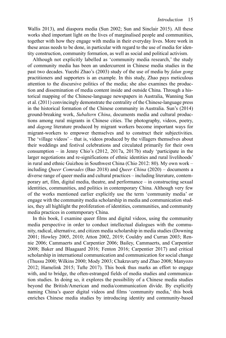Wallis 2013), and diaspora media (Sun 2002; Sun and Sinclair 2015). All these works shed important light on the lives of marginalised people and communities, together with how they engage with media in their everyday lives. More work in these areas needs to be done, in particular with regard to the use of media for identity construction, community formation, as well as social and political activism.

 Although not explicitly labelled as 'community media research,' the study ground-breaking work, *Subaltern China*, documents media and cultural produc- and *dagong* literature produced by migrant workers become important ways for The 'village videos' – that is, videos produced by the villagers themselves about consumption – in Jenny Chio's  $(2012, 2017a, 2017b)$  study 'participate in the of community media has been an undercurrent in Chinese media studies in the past two decades. Yuezhi Zhao's (2003) study of the use of media by *falun gong* practitioners and supporters is an example. In this study, Zhao pays meticulous attention to the discursive politics of the media; she also examines the production and dissemination of media content inside and outside China. Through a historical mapping of the Chinese-language newspapers in Australia, Wanning Sun et al. (2011) convincingly demonstrate the centrality of the Chinese-language press in the historical formation of the Chinese community in Australia. Sun's (2014) tions among rural migrants in Chinese cities. The photography, videos, poetry, migrant-workers to empower themselves and to construct their subjectivities. their weddings and festival celebrations and circulated primarily for their own larger negotiations and re-significations of ethnic identities and rural livelihoods' in rural and ethnic Guizhou in Southwest China (Chio 2012: 80). My own work including *Queer Comrades* (Bao 2018) and *Queer China* (2020) – documents a diverse range of queer media and cultural practices – including literature, contemporary art, film, digital media, theatre, and performance – in constructing sexual identities, communities, and politics in contemporary China. Although very few of the works mentioned earlier explicitly use the term 'community media' or engage with the community media scholarship in media and communication studies, they all highlight the proliferation of identities, communities, and community media practices in contemporary China.

2001; Howley 2005, 2010; Atton 2002, 2019; Couldry and Curran 2003; Ren-(Thussu 2000; Wilkins 2000; Mody 2003; Chakravarty and Zhao 2008; Manyozo In this book, I examine queer films and digital videos, using the community media perspective in order to conduct intellectual dialogues with the community, radical, alternative, and citizen media scholarship in media studies (Downing nie 2006; Cammaerts and Carpentier 2006; Bailey, Cammaerts, and Carpentier 2008; Baker and Blaagaard 2016; Fenton 2016; Carpentier 2017) and critical scholarship in international communication and communication for social change 2012; Hamelink 2015; Tufte 2017). This book thus marks an effort to engage with, and to bridge, the often-estranged fields of media studies and communication studies. In doing so, it explores the possibility of a Chinese media studies beyond the British/American and media/communication divide. By explicitly naming China's queer digital videos and films 'community media,' this book enriches Chinese media studies by introducing identity and community-based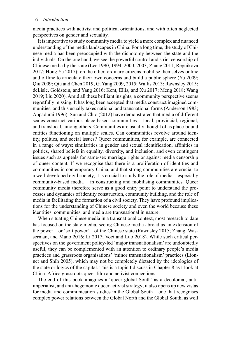media practices with activist and political orientations, and with often neglected perspectives on gender and sexuality.

Chinese media by the state (Lee 1990, 1994, 2000, 2003; Zhang 2011; Repnikova and offline to articulate their own concerns and build a public sphere (Yu 2009; Qiu 2009; Qiu and Chen 2019; G. Yang 2009, 2015; Wallis 2013; Rawnsley 2015; It is imperative to study community media to yield a more complex and nuanced understanding of the media landscapes in China. For a long time, the study of Chinese media has been preoccupied with the dichotomy between the state and the individuals. On the one hand, we see the powerful control and strict censorship of 2017; Hong Yu 2017); on the other, ordinary citizens mobilise themselves online deLisle, Goldstein, and Yang 2016; Kent, Ellis, and Xu 2017; Meng 2018; Wang 2019 ; Liu 2020 ). Amid all these brilliant insights, a community perspective seems regretfully missing. It has long been accepted that media construct imagined communities, and this usually takes national and transnational forms (Anderson 1983; Appadurai 1996). Sun and Chio (2012) have demonstrated that media of different scales construct various place-based communities – local, provincial, regional, and translocal, among others. Communities are usually thought of as place-bound entities functioning on multiple scales. Can communities revolve around identity, politics, and social issues? Queer communities, for example, are connected in a range of ways: similarities in gender and sexual identification, affinities in politics, shared beliefs in equality, diversity, and inclusion, and even contingent issues such as appeals for same-sex marriage rights or against media censorship of queer content. If we recognise that there is a proliferation of identities and communities in contemporary China, and that strong communities are crucial to a well-developed civil society, it is crucial to study the role of media – especially community-based media – in constructing and mobilising communities. Queer community media therefore serve as a good entry point to understand the processes and dynamics of identity construction, community building, and the role of media in facilitating the formation of a civil society. They have profound implications for the understanding of Chinese society and even the world because these identities, communities, and media are transnational in nature.

serman, and Mano 2016; Li 2017; Voci and Luo 2018). While such critical per- the state or logics of the capital. This is a topic I discuss in Chapter 8 as I look at When situating Chinese media in a transnational context, most research to date has focused on the state media, seeing Chinese media abroad as an extension of the power – or 'soft power' – of the Chinese state (Rawnsley 2015; Zhang, Wasspectives on the government policy-led 'major transnationalism' are undoubtedly useful, they can be complemented with an attention to ordinary people's media practices and grassroots organisations' 'minor transnationalism' practices ( Lionnet and Shih 2005 ), which may not be completely dictated by the ideologies of China–Africa grassroots queer film and activist connections.

The end of this book imagines a 'queer global South' as a decolonial, antiimperialist, and anti-hegemonic queer activist strategy; it also opens up new vistas for media and communication studies in the Global South – one that recognises complex power relations between the Global North and the Global South, as well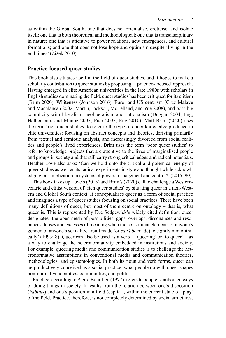as within the Global South; one that does not orientalise, eroticise, and isolate itself; one that is both theoretical and methodological; one that is transdisciplinary in nature; one that is attentive to power relations, new emergences, and cultural formations; and one that does not lose hope and optimism despite 'living in the end times' (Žižek 2010).

#### **Practice-focused queer studies**

Halberstam, and Muñoz 2005; Puar 2007; Eng 2010). Matt Brim (2020) uses This book also situates itself in the field of queer studies, and it hopes to make a scholarly contribution to queer studies by proposing a 'practice-focused'approach. Having emerged in elite American universities in the late 1980s with scholars in English studies dominating the field, queer studies has been critiqued for its elitism (Brim 2020), Whiteness (Johnson 2016), Euro- and US-centrism (Cruz-Malave and Manalansan 2002; Martin, Jackson, McLelland, and Yue 2008), and possible complicity with liberalism, neoliberalism, and nationalism (Duggan 2004; Eng, the term 'rich queer studies' to refer to the type of queer knowledge produced in elite universities: focusing on abstract concepts and theories, deriving primarily from textual and semiotic analysis, and increasingly divorced from social realities and people's lived experiences. Brim uses the term 'poor queer studies' to refer to knowledge projects that are attentive to the lives of marginalised people and groups in society and that still carry strong critical edges and radical potentials. Heather Love also asks: 'Can we hold onto the critical and polemical energy of queer studies as well as its radical experiments in style and thought while acknowledging our implication in systems of power, management and control?' (2015: 90).

 gender, of anyone's sexuality, aren't made (or *can't be* made) to signify monolithically' (1993: 8). Queer can also be used as a verb – 'queering' or 'to queer' – as This book takes up Love's (2015) and Brim's (2020) call to challenge a Westerncentric and elitist version of 'rich queer studies' by situating queer in a non-Western and Global South context. It conceptualises queer as a form of social practice and imagines a type of queer studies focusing on social practices. There have been many definitions of queer, but most of them centre on ontology – that is, what queer is. This is represented by Eve Sedgewick's widely cited definition: queer designates 'the open mesh of possibilities, gaps, overlaps, dissonances and resonances, lapses and excesses of meaning when the constituent elements of anyone's a way to challenge the heteronormativity embedded in institutions and society. For example, queering media and communication studies is to challenge the heteronormative assumptions in conventional media and communication theories, methodologies, and epistemologies. In both its noun and verb forms, queer can be productively conceived as a social practice: what people do with queer shapes non-normative identities, communities, and politics.

 (*habitus*) and one's position in a field (capital), within the current state of 'play' Practice, according to Pierre Bourdieu (1977), refers to people's embodied ways of doing things in society. It results from the relation between one's disposition of the field. Practice, therefore, is not completely determined by social structures,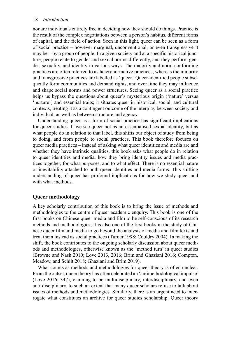nor are individuals entirely free in deciding how they should do things. Practice is the result of the complex negotiations between a person's habitus, different forms of capital, and the field of action. Seen in this light, queer can be seen as a form of social practice – however marginal, unconventional, or even transgressive it may be – by a group of people. In a given society and at a specific historical juncture, people relate to gender and sexual norms differently, and they perform gender, sexuality, and identity in various ways. The majority and norm-conforming practices are often referred to as heteronormative practices, whereas the minority and transgressive practices are labelled as 'queer.' Queer-identified people subsequently form communities and demand rights, and over time they may influence and shape social norms and power structures. Seeing queer as a social practice helps us bypass the questions about queer's mysterious origin ('nature' versus 'nurture') and essential traits; it situates queer in historical, social, and cultural contexts, treating it as a contingent outcome of the interplay between society and individual, as well as between structure and agency.

Understanding queer as a form of social practice has significant implications for queer studies. If we see queer not as an essentialised sexual identity, but as what people do in relation to that label, this shifts our object of study from being to doing, and from people to social practices. This book therefore focuses on queer media practices – instead of asking what queer identities and media are and whether they have intrinsic qualities, this book asks what people do in relation to queer identities and media, how they bring identity issues and media practices together, for what purposes, and to what effect. There is no essential nature or inevitability attached to both queer identities and media forms. This shifting understanding of queer has profound implications for how we study queer and with what methods.

#### **Queer methodology**

 A key scholarly contribution of this book is to bring the issue of methods and treat them instead as social practices (Turner 1998; Couldry 2004). In making the (Browne and Nash 2010; Love 2013, 2016; Brim and Ghaziani 2016; Compton, methodologies to the centre of queer academic enquiry. This book is one of the first books on Chinese queer media and film to be self-conscious of its research methods and methodologies; it is also one of the first books in the study of Chinese queer film and media to go beyond the analysis of media and film texts and shift, the book contributes to the ongoing scholarly discussion about queer methods and methodologies, otherwise known as the 'method turn' in queer studies Meadow, and Schilt 2018; Ghaziani and Brim 2019).

What counts as methods and methodologies for queer theory is often unclear. From the outset, queer theory has often celebrated an 'antimethodological impulse' (Love 2016: 347), claiming to be multidisciplinary, interdisciplinary, and even anti-disciplinary, to such an extent that many queer scholars refuse to talk about issues of methods and methodologies. Similarly, there is an urgent need to interrogate what constitutes an archive for queer studies scholarship. Queer theory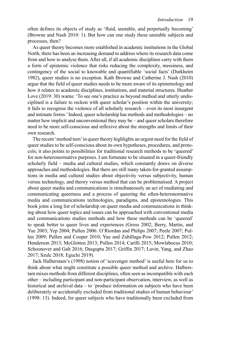often defines its objects of study as 'fluid, unstable, and perpetually becoming' ( Browne and Nash 2010 : 1). But how can one study these unstable subjects and processes, then?

 contingency of the social to knowable and quantifiable 'social facts' (Durkheim As queer theory becomes more established in academic institutions in the Global North, there has been an increasing demand to address where its research data come from and how to analyse them. After all, if all academic disciplines carry with them a form of epistemic violence that risks reducing the complexity, messiness, and 1982), queer studies is no exception. Kath Browne and Catherine J. Nash (2010) argue that the field of queer studies needs to be more aware of its epistemology and how it relates to academic disciplines, institutions, and material structures. Heather Love (2019: 30) warns: 'To see one's practice as beyond method and utterly undisciplined is a failure to reckon with queer scholar's position within the university; it fails to recognise the violence of all scholarly research – even its most insurgent and intimate forms.'Indeed, queer scholarship has methods and methodologies – no matter how implicit and unconventional they may be – and queer scholars therefore need to be more self-conscious and reflexive about the strengths and limits of their own research.

 and communications studies methods and how these methods can be 'queered' Yue 2003; Yep 2004; Pullen 2006: O'Riordan and Philips 2007; Peele 2007; Pul-The recent 'method turn'in queer theory highlights an urgent need for the field of queer studies to be self-conscious about its own hypotheses, procedures, and protocols; it also points to possibilities for traditional research methods to be 'queered' for non-heteronormative purposes. I am fortunate to be situated in a queer-friendly scholarly field – media and cultural studies, which constantly draws on diverse approaches and methodologies. But there are still many taken-for-granted assumptions in media and cultural studies about objectivity versus subjectivity, human versus technology, and theory versus method that can be problematised. A project about queer media and communications is simultaneously an act of mediating and communicating queerness and a process of queering the often-heteronormative media and communications technologies, paradigms, and epistemologies. This book joins a long list of scholarship on queer media and communications in thinking about how queer topics and issues can be approached with conventional media to speak better to queer lives and experiences (Gross 2002; Berry, Martin, and len 2009; Pullen and Cooper 2010; Yue and Zubillaga-Pow 2012; Pullen 2012; Henderson 2013; McGlotten 2013; Pullen 2014; Carilli 2015; Mowlabocus 2010; Schoonover and Galt 2016; Dasgupta 2017; Griffin 2017; Lavin, Yang, and Zhao 2017; Szulc 2018; Eguchi 2019).

Jack Halberstam's (1998) notion of 'scavenger method' is useful here for us to think about what might constitute a possible queer method and archive. Halberstam mixes methods from different disciplines, often seen as incompatible with each other – including participant and non-participant observation, interview, as well as historical and archival data – to 'produce information on subjects who have been deliberately or accidentally excluded from traditional studies of human behaviour' (1998: 13). Indeed, for queer subjects who have traditionally been excluded from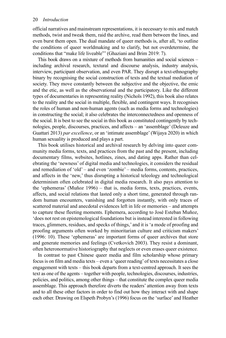official narratives and mainstream representations, it is necessary to mix and match methods, twist and tweak them, raid the archive, read them between the lines, and even burst them open. The dual mandate of queer methods is, after all, 'to outline the conditions of queer worldmaking and to clarify, but not overdetermine, the conditions that "make life liveable"' (Ghaziani and Brim 2019: 7).

 nologies, people, discourses, practices, and affects – an 'assemblage' (Deleuze and This book draws on a mixture of methods from humanities and social sciences – including archival research, textural and discourse analysis, industry analysis, interview, participant observation, and even PAR. They disrupt a text-ethnography binary by recognising the social construction of texts and the textual mediation of society. They move constantly between the subjective and the objective, the emic and the etic, as well as the observational and the participatory. Like the different types of documentaries in representing reality ( Nichols 1992 ), this book also relates to the reality and the social in multiple, flexible, and contingent ways. It recognises the roles of human and non-human agents (such as media forms and technologies) in constructing the social; it also celebrates the interconnectedness and openness of the social. It is best to see the social in this book as constituted contingently by tech-Guattari 2013) *par excellence*, or an 'intimate assemblage' (Wijaya 2020) in which human sexuality is produced and plays a part.

 and remediation of 'old' – and even 'zombie' – media forms, contents, practices, the 'ephemeras' (Muñoz 1996) – that is, media forms, texts, practices, events, traces, glimmers, residues, and specks of things,' and it is 'a mode of proofing and This book utilises historical and archival research by delving into queer community media forms, texts, and practices from the past and the present, including documentary films, websites, hotlines, zines, and dating apps. Rather than celebrating the 'newness' of digital media and technologies, it considers the residual and affects in the 'new,' thus disrupting a historical teleology and technological determinism often celebrated in digital media research. It also pays attention to affects, and social relations that lasted only a short time, generated through random human encounters, vanishing and forgotten instantly, with only traces of scattered material and anecdotal evidences left in life or memories – and attempts to capture these fleeting moments. Ephemera, according to José Esteban Muñoz, 'does not rest on epistemological foundations but is instead interested in following proofing arguments often worked by minoritarian culture and criticism makers' (1996: 10). These 'ephemeras' are important forms of queer archives that store and generate memories and feelings (Cvetkovich 2003). They resist a dominant, often heteronormative historiography that neglects or even erases queer existence.

each other. Drawing on Elspeth Probyn's (1996) focus on the 'surface' and Heather In contrast to past Chinese queer media and film scholarship whose primary focus is on film and media texts – even a 'queer reading'of texts necessitates a close engagement with texts – this book departs from a text-centred approach. It sees the text as one of the agents – together with people, technologies, discourses, industries, policies, and politics, among other things – that constitute the complex queer media assemblage. This approach therefore diverts the readers' attention away from texts and to all these other factors in order to find out how they interact with and shape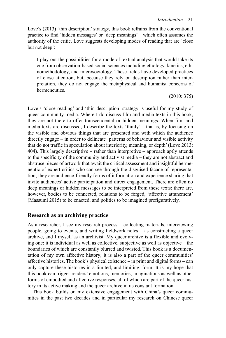practice to find 'hidden messages' or 'deep meanings' – which often assumes the Love's (2013) 'thin description' strategy, this book refrains from the conventional authority of the critic. Love suggests developing modes of reading that are 'close but not deep':

 I play out the possibilities for a mode of textual analysis that would take its cue from observation-based social sciences including ethology, kinetics, ethnomethodology, and microsociology. These fields have developed practices of close attention, but, because they rely on description rather than interpretation, they do not engage the metaphysical and humanist concerns of hermeneutics.

 $(2010: 375)$ 

 media texts are discussed, I describe the texts 'thinly' – that is, by focusing on that do not traffic in speculation about interiority, meaning, or depth'(Love 2013 : Love's 'close reading' and 'thin description' strategy is useful for my study of queer community media. Where I do discuss film and media texts in this book, they are not there to offer transcendental or hidden meanings. When film and the visible and obvious things that are presented and with which the audience directly engage – in order to delineate 'patterns of behaviour and visible activity 404). This largely descriptive – rather than interpretive – approach aptly attends to the specificity of the community and activist media – they are not abstract and abstruse pieces of artwork that await the critical assessment and insightful hermeneutic of expert critics who can see through the disguised facade of representation; they are audience-friendly forms of information and experience sharing that invite audiences' active participation and direct engagement. There are often no deep meanings or hidden messages to be interpreted from these texts; there are, however, bodies to be connected, relations to be forged, 'affective attunement' (Massumi 2015) to be enacted, and politics to be imagined prefiguratively.

#### **Research as an archiving practice**

As a researcher, I see my research process – collecting materials, interviewing people, going to events, and writing fieldwork notes – as constructing a queer archive, and I myself as an archivist. My queer archive is a flexible and evolving one; it is individual as well as collective, subjective as well as objective – the boundaries of which are constantly blurred and twisted. This book is a documentation of my own affective history; it is also a part of the queer communities' affective histories. The book's physical existence – in print and digital forms – can only capture these histories in a limited, and limiting, form. It is my hope that this book can trigger readers' emotions, memories, imaginations as well as other forms of embodied and affective responses, all of which are part of the queer history in its active making and the queer archive in its constant formation.

This book builds on my extensive engagement with China's queer communities in the past two decades and in particular my research on Chinese queer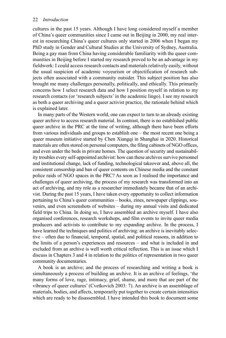cultures in the past 15 years. Although I have long considered myself a member of China's queer communities since I came out in Beijing in 2000, my real interest in researching China's queer cultures only started in 2006 when I began my PhD study in Gender and Cultural Studies at the University of Sydney, Australia. Being a gay man from China having considerable familiarity with the queer communities in Beijing before I started my research proved to be an advantage in my fieldwork: I could access research contacts and materials relatively easily, without the usual suspicion of academic voyeurism or objectification of research subjects often associated with a community outsider. This subject position has also brought me many challenges personally, politically, and ethically. This primarily concerns how I select research data and how I position myself in relation to my research contacts (or 'research subjects'in the academic lingo). I see my research as both a queer archiving and a queer activist practice, the rationale behind which is explained later.

In many parts of the Western world, one can expect to turn to an already existing queer archive to access research material. In contrast, there is no established public queer archive in the PRC at the time of writing, although there have been efforts from various individuals and groups to establish one – the most recent one being a queer museum initiative started by Chen Xiangqi in Shanghai in 2020. Historical materials are often stored on personal computers, the filing cabinets of NGO offices, and even under the beds in private homes. The question of security and sustainability troubles every self-appointed archivist: how can these archives survive personnel and institutional change, lack of funding, technological takeover and, above all, the consistent censorship and ban of queer contents on Chinese media and the constant police raids of NGO spaces in the PRC? As soon as I realised the importance and challenges of queer archiving, the process of my research was transformed into an act of archiving, and my role as a researcher immediately became that of an archivist. During the past 15 years, I have taken every opportunity to collect information pertaining to China's queer communities – books, zines, newspaper clippings, souvenirs, and even screenshots of websites – during my annual visits and dedicated field trips to China. In doing so, I have assembled an archive myself. I have also organised conferences, research workshops, and film events to invite queer media producers and activists to contribute to my expanding archive. In the process, I have learned the techniques and politics of archiving: an archive is inevitably selective – often due to financial, temporal, spatial, and political reasons, in addition to the limits of a person's experiences and resources – and what is included in and excluded from an archive is well worth critical reflection. This is an issue which I discuss in Chapters 3 and 4 in relation to the politics of representation in two queer community documentaries.

 A book is an archive; and the process of researching and writing a book is simultaneously a process of building an archive. It is an archive of feelings, 'the many forms of love, rage, intimacy, grief, shame, and more that are part of the vibrancy of queer cultures' (Cvetkovich 2003: 7). An archive is an assemblage of materials, bodies, and affects, temporarily put together to create certain intensities which are ready to be disassembled. I have intended this book to document some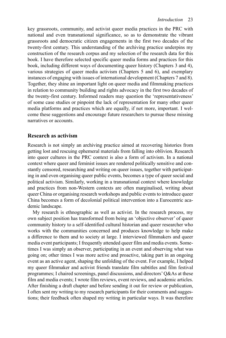book, including different ways of documenting queer history (Chapters 3 and 4), various strategies of queer media activism (Chapters 5 and 6), and exemplary instances of engaging with issues of international development ( Chapters 7 and 8). key grassroots, community, and activist queer media practices in the PRC with national and even transnational significance, so as to demonstrate the vibrant grassroots and democratic citizen engagements in the first two decades of the twenty-first century. This understanding of the archiving practice underpins my construction of the research corpus and my selection of the research data for this book. I have therefore selected specific queer media forms and practices for this Together, they shine an important light on queer media and filmmaking practices in relation to community building and rights advocacy in the first two decades of the twenty-first century. Informed readers may question the 'representativeness' of some case studies or pinpoint the lack of representation for many other queer media platforms and practices which are equally, if not more, important. I welcome these suggestions and encourage future researchers to pursue these missing narratives or accounts.

#### **Research as activism**

Research is not simply an archiving practice aimed at recovering histories from getting lost and rescuing ephemeral materials from falling into oblivion. Research into queer cultures in the PRC context is also a form of activism. In a national context where queer and feminist issues are rendered politically sensitive and constantly censored, researching and writing on queer issues, together with participating in and even organising queer public events, becomes a type of queer social and political activism. Similarly, working in a transnational context where knowledge and practices from non-Western contexts are often marginalised, writing about queer China or organising research workshops and public events to introduce queer China becomes a form of decolonial political intervention into a Eurocentric academic landscape.

My research is ethnographic as well as activist. In the research process, my own subject position has transformed from being an 'objective observer' of queer community history to a self-identified cultural historian and queer researcher who works with the communities concerned and produces knowledge to help make a difference to them and to society at large. I interviewed filmmakers and queer media event participants; I frequently attended queer film and media events. Sometimes I was simply an observer, participating in an event and observing what was going on; other times I was more active and proactive, taking part in an ongoing event as an active agent, shaping the unfolding of the event. For example, I helped my queer filmmaker and activist friends translate film subtitles and film festival programmes; I chaired screenings, panel discussions, and directors'Q&As at these film and media events; I wrote film reviews, event reviews, and academic articles. After finishing a draft chapter and before sending it out for review or publication, I often sent my writing to my research participants for their comments and suggestions; their feedback often shaped my writing in particular ways. It was therefore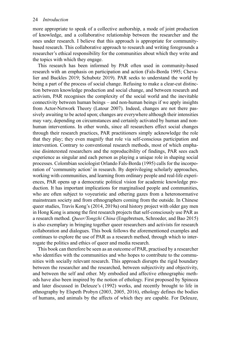more appropriate to speak of a collective authorship, a mode of joint production of knowledge, and a collaborative relationship between the researcher and the ones under research. I believe that this approach is appropriate for communitybased research. This collaborative approach to research and writing foregrounds a researcher's ethical responsibility for the communities about which they write and the topics with which they engage.

This research has been informed by PAR often used in community-based research with an emphasis on participation and action (Fals-Borda 1995; Chevalier and Buckles 2019; Schubotz 2019). PAR seeks to understand the world by being a part of the process of social change. Refusing to make a clear-cut distinction between knowledge production and social change, and between research and activism, PAR recognises the complexity of the social world and the inevitable connectivity between human beings – and non-human beings if we apply insights from Actor-Network Theory (Latour 2007). Indeed, changes are not there passively awaiting to be acted upon; changes are everywhere although their intensities may vary, depending on circumstances and certainly activated by human and nonhuman interventions. In other words, since all researchers effect social changes through their research practices, PAR practitioners simply acknowledge the role that they play; they even magnify that role via self-conscious participation and intervention. Contrary to conventional research methods, most of which emphasise disinterested researchers and the reproducibility of findings, PAR sees each experience as singular and each person as playing a unique role in shaping social processes. Colombian sociologist Orlando Fals-Borda (1995) calls for the incorporation of 'community action' in research. By deprivileging scholarly approaches, working with communities, and learning from ordinary people and real-life experiences, PAR opens up a democratic political vision for academic knowledge production. It has important implications for marginalised people and communities, who are often subject to voyeuristic and othering gazes from a heteronormative mainstream society and from ethnographers coming from the outside. In Chinese queer studies, Travis Kong's (2014, 2019a) oral history project with older gay men in Hong Kong is among the first research projects that self-consciously use PAR as a research method. *Queer/Tongzhi China* (Engebretsen, Schroeder, and Bao 2015) is also exemplary in bringing together queer researchers and activists for research collaboration and dialogues. This book follows the aforementioned examples and continues to explore the use of PAR as a research method, through which to interrogate the politics and ethics of queer and media research.

ethnography by Elspeth Probyn (2003, 2005, 2016), ethology defines the bodies This book can therefore be seen as an outcome of PAR, practised by a researcher who identifies with the communities and who hopes to contribute to the communities with socially relevant research. This approach disrupts the rigid boundary between the researcher and the researched, between subjectivity and objectivity, and between the self and other. My embodied and affective ethnographic methods have also been inspired by the notion of ethology. First proposed by Spinoza and later discussed in Deleuze's (1992) works, and recently brought to life in of humans, and animals by the affects of which they are capable. For Deleuze,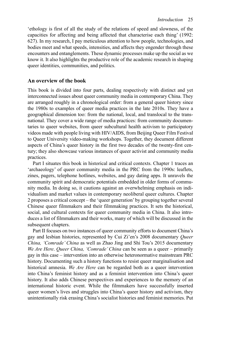capacities for affecting and being affected that characterise each thing' (1992: 'ethology is first of all the study of the relations of speed and slowness, of the 627). In my research, I pay meticulous attention to how people, technologies, and bodies meet and what speeds, intensities, and affects they engender through these encounters and entanglements. These dynamic processes make up the social as we know it. It also highlights the productive role of the academic research in shaping queer identities, communities, and politics.

#### **An overview of the book**

This book is divided into four parts, dealing respectively with distinct and yet interconnected issues about queer community media in contemporary China. They are arranged roughly in a chronological order: from a general queer history since the 1980s to examples of queer media practices in the late 2010s. They have a geographical dimension too: from the national, local, and translocal to the transnational. They cover a wide range of media practices: from community documentaries to queer websites, from queer subcultural health activism to participatory videos made with people living with HIV/AIDS, from Beijing Queer Film Festival to Queer University video-making workshops. Together, they document different aspects of China's queer history in the first two decades of the twenty-first century; they also showcase various instances of queer activist and community media practices.

 Part I situates this book in historical and critical contexts. Chapter 1 traces an 'archaeology' of queer community media in the PRC from the 1990s: leaflets, zines, pagers, telephone hotlines, websites, and gay dating apps. It unravels the community spirit and democratic potentials embedded in older forms of community media. In doing so, it cautions against an overwhelming emphasis on individualism and market values in contemporary neoliberal queer cultures. Chapter 2 proposes a critical concept – the 'queer generation' by grouping together several Chinese queer filmmakers and their filmmaking practices. It sets the historical, social, and cultural contexts for queer community media in China. It also introduces a list of filmmakers and their works, many of which will be discussed in the subsequent chapters.

 Part II focuses on two instances of queer community efforts to document China's gay and lesbian histories, represented by Cui Zi'en's 2008 documentary *Queer China, 'Comrade' China* as well as Zhao Jing and Shi Tou's 2015 documentary *We Are Here*. *Queer China, 'Comrade' China* can be seen as a queer – primarily gay in this case – intervention into an otherwise heteronormative mainstream PRC history. Documenting such a history functions to resist queer marginalisation and historical amnesia. *We Are Here* can be regarded both as a queer intervention into China's feminist history and as a feminist intervention into China's queer history. It also adds Chinese perspectives and experiences to the memory of an international historic event. While the filmmakers have successfully inserted queer women's lives and struggles into China's queer history and activism, they unintentionally risk erasing China's socialist histories and feminist memories. Put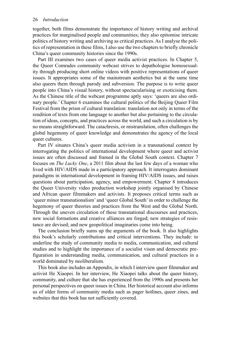#### 26 *Introduction*

together, both films demonstrate the importance of history writing and archival practices for marginalised people and communities; they also epitomise intricate politics of history writing and archiving as critical practices. As I analyse the politics of representation in these films, I also use the two chapters to briefly chronicle China's queer community histories since the 1990s.

Part III examines two cases of queer media activist practices. In Chapter 5, nary people.' Chapter 6 examines the cultural politics of the Beijing Queer Film the Queer Comrades community webcast strives to depathologise homosexuality through producing short online videos with positive representations of queer issues. It appropriates some of the mainstream aesthetics but at the same time also queers them through parody and subversion. The purpose is to write queer people into China's visual history, without spectacularising or exoticising them. As the Chinese title of the webcast programme aptly says: 'queers are also ordi-Festival from the prism of cultural translation: translation not only in terms of the rendition of texts from one language to another but also pertaining to the circulation of ideas, concepts, and practices across the world, and such a circulation is by no means straightforward. The catachresis, or mistranslation, often challenges the global hegemony of queer knowledge and demonstrates the agency of the local queer cultures.

 Part IV situates China's queer media activism in a transnational context by issues are often discussed and framed in the Global South context. Chapter 7 focuses on *The Lucky One*, a 2011 film about the last few days of a woman who questions about participation, agency, and empowerment. Chapter 8 introduces interrogating the politics of international development where queer and activist lived with HIV/AIDS made in a participatory approach. It interrogates dominant paradigms in international development in framing HIV/AIDS issues, and raises the Queer University video production workshop jointly organised by Chinese and African queer filmmakers and activists. It proposes critical terms such as 'queer minor transnationalism' and 'queer Global South'in order to challenge the hegemony of queer theories and practices from the West and the Global North. Through the uneven circulation of these transnational discourses and practices, new social formations and creative alliances are forged; new strategies of resistance are devised; and new geopolitical imaginaries come into being.

The conclusion briefly sums up the arguments of the book. It also highlights this book's scholarly contributions and critical interventions. They include: to underline the study of community media to media, communication, and cultural studies and to highlight the importance of a socialist vison and democratic prefiguration in understanding media, communication, and cultural practices in a world dominated by neoliberalism.

This book also includes an Appendix, in which I interview queer filmmaker and activist He Xiaopei. In her interview, He Xiaopei talks about the queer history, community, and culture that she has experienced from the 1990s and presents her personal perspectives on queer issues in China. Her historical account also informs us of older forms of community media such as pager hotlines, queer zines, and websites that this book has not sufficiently covered.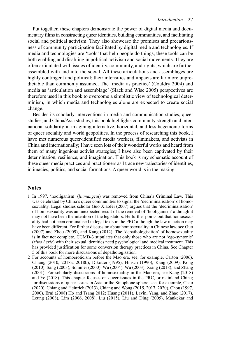dictable than commonly assumed. The 'media as practice' (Couldry 2004) and media as 'articulation and assemblage' (Slack and Wise 2005) perspectives are Put together, these chapters demonstrate the power of digital media and documentary films in constructing queer identities, building communities, and facilitating social and political activism. They also showcase the promises and precariousness of community participation facilitated by digital media and technologies. If media and technologies are 'tools' that help people do things, these tools can be both enabling and disabling in political activism and social movements. They are often articulated with issues of identity, community, and rights, which are further assembled with and into the social. All these articulations and assemblages are highly contingent and political; their intensities and impacts are far more unpretherefore used in this book to overcome a simplistic view of technological determinism, in which media and technologies alone are expected to create social change.

Besides its scholarly interventions in media and communication studies, queer studies, and China/Asia studies, this book highlights community strength and international solidarity in imagining alternative, horizontal, and less hegemonic forms of queer sociality and world geopolitics. In the process of researching this book, I have met numerous queer-identified media workers, filmmakers, and activists in China and internationally; I have seen lots of their wonderful works and heard from them of many ingenious activist strategies; I have also been captivated by their determination, resilience, and imagination. This book is my schematic account of these queer media practices and practitioners as I trace new trajectories of identities, intimacies, politics, and social formations. A queer world is in the making.

#### **Notes**

- 1 In 1997, 'hooliganism' (*liumangzui*) was removed from China's Criminal Law. This was celebrated by China's queer communities to signal the 'decriminalisation' of homosexuality. Legal studies scholar Guo Xiaofei (2007) argues that the 'decriminalisation' of homosexuality was an unexpected result of the removal of 'hooliganism' although it may not have been the intention of the legislators. He further points out that homosexuality had not been criminalised in legal texts in the PRC although the law in action may have been different. For further discussion about homosexuality in Chinese law, see Guo (2007) and Zhou (2009), and Kang (2012). The 'depathologisation' of homosexuality is in fact not complete. CCMD-3 stipulates that only those who are not 'ego-syntonic' (*ziwo hexie*) with their sexual identities need psychological and medical treatment. This has provided justification for some conversion therapy practices in China. See Chapter 5 of this book for more discussions of depathologisation.
- 2 For accounts of homoeroticism before the Mao era, see, for example, Carton (2006), Chiang (2010, 2018a, 2018b), Dikötter (1995), Hinsch (1990), Kang (2009), Kong (2010), Sang (2003), Sommer (2000), Wu (2004), Wu (2003), Xiang (2018), and Zhang Leung (2008), Lim (2006, 2008), Liu (2015), Liu and Ding (2005), Mankekar and  $(2001)$ . For scholarly discussions of homosexuality in the Mao era, see Kang  $(2018)$ and Ye (2018). This chapter focuses on queer issues in the PRC, or mainland China; for discussions of queer issues in Asia or the Sinophone sphere, see, for example, Chao (2020), Chiang and Heinrich (2013), Chiang and Wong (2015, 2017, 2020), Chou (1997, 2000), Erni (2008) Ho and Tsang 2012; Huang (2011), Lavin, Yang, and Zhao (2017),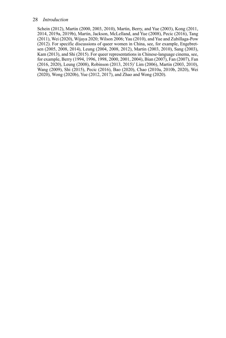#### 28 *Introduction*

Schein (2012), Martin (2000, 2003, 2010), Martin, Berry, and Yue (2003), Kong (2011, 2014, 2019a, 2019b), Martin, Jackson, McLelland, and Yue (2008), Pecic (2016), Tang (2011), Wei (2020), Wijaya 2020; Wilson 2006; Yau (2010), and Yue and Zubillaga-Pow sen (2005, 2008, 2014), Leung (2004, 2008, 2012), Martin (2003, 2010), Sang (2003), for example, Berry (1994, 1996, 1998, 2000, 2001, 2004), Bian (2007), Fan (2007), Fan (2016, 2020), Leung (2008), Robinson (2013, 2015)' Lim (2006), Martin (2003, 2010), Wang (2009), Shi (2015), Pecic (2016), Bao (2020), Chao (2010a, 2010b, 2020), Wei (2012). For specific discussions of queer women in China, see, for example, Engebret-Kam (2013), and Shi (2015). For queer representations in Chinese-language cinema, see, (2020), Wong (2020b), Yue (2012, 2017), and Zhao and Wong (2020).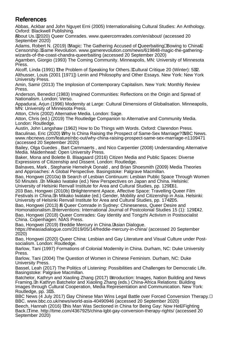### References

Abbas, Ackbar and John Nguyet Erni (2005) Internationalising Cultural Studies: An Anthology. Oxford: Blackwell Publishing.

About Us. (2020) Queer Comrades. www.queercomrades.com/en/about/ (accessed 20 September<sup>2020</sup>)

Adams, Robert N. (2019) Magic: The Gathering Accused of Oueerbaiting, Bowing to Chinas Censorship. Game Revolution. www.gamerevolution.com/news/619848-magic-the-gatheringwizards-of-the-coast-chandra-queerbaiting (accessed 20 September 2020)

Agamben, Giorgio (1993) The Coming Community. Minneapolis, MN: University of Minnesota Press.

Alcoff, Linda (1991) The Problem of Speaking for Others. Cultural Critique 20 (Winter): 532. Althusser, Louis (2001 [1971]) Lenin and Philosophy and Other Essays. New York: New York University Press.

Amin, Samir (2013) The Implosion of Contemporary Capitalism. New York: Monthly Review Press.

Anderson, Benedict (1983) Imagined Communities: Reflections on the Origin and Spread of Nationalism. London: Verso.

Appadurai, Arjun (1996) Modernity at Large: Cultural Dimensions of Globalisation. Minneapolis, MN: University of Minnesota Press.

Atton, Chris (2002) Alternative Media. London: Sage.

Atton, Chris (ed.) (2019) The Routledge Companion to Alternative and Community Media. London: Routledge.

Austin, John Langshaw (1962) How to Do Things with Words. Oxford: Clarendon Press. Baculinao, Eric (2020) Why Is China Raising the Prospect of Same-Sex Marriage? NBC News. www.nbcnews.com/feature/nbc-out/why-china-raising-prospect-same-sex-marriage-n1109471 (accessed 20 September 2020)

Bailey, Olga Guedes , Bart Cammaerts , and Nico Carpentier (2008) Understanding Alternative Media. Maidenhead: Open University Press.

Baker, Mona and Bolette B. Blaagaard (2016) Citizen Media and Public Spaces: Diverse Expressions of Citizenship and Dissent. London: Routledge.

Balnaves, Mark , Stephanie Hemelryk Donald , and Brian Shoesmith (2009) Media Theories and Approaches: A Global Perspective. Basingstoke: Palgrave Macmillan.

Bao, Hongwei (2010a) In Search of Lesbian Continuum: Lesbian Public Space Through Women 50 Minutes . In Mikako Iwatake (ed.) New Perspectives on Japan and China. Helsinki: University of Helsinki Renvall Institute for Area and Cultural Studies, pp. 129161.

203 Bao, Hongwei (2010b) Enlightenment Apace, Affective Space: Travelling Oueer Film Festivals in China. In Mikako Iwatake (ed.) Gender, Mobility and Citizenship in Asia. Helsinki: University of Helsinki Renvall Institute for Area and Cultural Studies, pp. 174205.

Bao, Hongwei (2013) A Queer Comrade in Sydney: Chineseness, Queer Desire and Homonationalism. Interventions: International Journal of Postcolonial Studies 15 (1): 129142. Bao, Hongwei (2018) Queer Comrades: Gay Identity and Tongzhi Activism in Postsocialist China. Copenhagen: NIAS Press.

Bao, Hongwei (2019) Freddie Mercury in China. Asian Dialogue.

https://theasiadialogue.com/2019/05/14/freddie-mercury-in-china/ (accessed 20 September 2020)

Bao, Hongwei (2020) Queer China: Lesbian and Gay Literature and Visual Culture under Postsocialism. London: Routledge.

Barlow, Tani (1997) Formations of Colonial Modernity in China. Durham, NC: Duke University Press.

Barlow, Tani (2004) The Question of Women in Chinese Feminism. Durham, NC: Duke University Press.

Bassel, Leah (2017) The Politics of Listening: Possibilities and Challenges for Democratic Life. Basingstoke: Palgrave Macmillan.

Batchelor, Kathryn and Xiaoling Zhang (2017) Introduction: Images, Nation Building and News Framing. In Kathryn Batchelor and Xiaoling Zhang (eds.) China-Africa Relations: Building Images through Cultural Cooperation, Media Representation and Communication. New York: Routledge, pp. 315.

BBC News (4 July 2017) Gay Chinese Man Wins Legal Battle over Forced Conversion Therapy. BBC. www.bbc.co.uk/news/world-asia-40490946 (accessed 20 September 2020) Beech, Hannah (2016) This Man Was Sectioned in China for Being Gay: Now Hes Fighting Back. Time. http://time.com/4367925/china-lgbt-gay-conversion-therapy-rights/ (accessed 20 September 2020)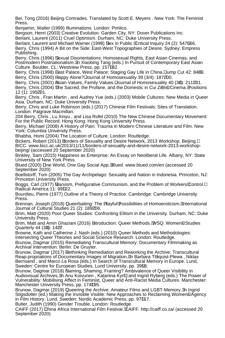Bei, Tong (2016) Beijing Comrades. Translated by Scott E. Meyers . New York: The Feminist Press.

Benjamin, Walter (1999) Illuminations. London: Pimlico.

Bergson, Henri (2003) Creative Evolution. Garden City, NY: Dover Publications Inc.

Berlant, Laurent (2011) Cruel Optimism. Durham, NC: Duke University Press.

Berlant, Laurent and Michael Warner (1998) Sex in Public. Critical Inquiry 24 (2): 547566.

Berry, Chris (1994) A Bit on the Side: East-West Topographies of Desire. Sydney: Empress Publishing.

Berry, Chris (1996) Sexual Disorientations: Homosexual Rights, East Asian Cinemas, and Postmodern Postnationalism. In Xiaobing Tang (eds.) In Pursuit of Contemporary East Asian Culture. Boulder, CL: Westview Press, pp. 157182.

Berry, Chris (1998) East Palace, West Palace: Staging Gay Life in China. Jump Cut 42: 8489. Berry, Chris (2000) Happy Alone? Journal of Homosexuality 39 (3/4): 187200.

Berry, Chris (2001) Asian Values, Family Values. Journal of Homosexuality 40 (34): 211231. Berry, Chris (2004) The Sacred, the Profane, and the Domestic in Cui Ziens Cinema. Positions 12 (1): 195201.

Berry, Chris , Fran Martin , and Audrey Yue (eds.) (2003) Mobile Cultures: New Media in Queer Asia. Durham, NC: Duke University Press.

Berry, Chris and Luke Robinson (eds.) (2017) Chinese Film Festivals: Sites of Translation. London: Palgrave Macmillan.

204 Berry, Chris , Lu Xinyu , and Lisa Rofel (2010) The New Chinese Documentary Movement: For the Public Record. Hong Kong: Hong Kong University Press.

Berry, Michael (2008) A History of Pain: Trauma in Modern Chinese Literature and Film. New York: Columbia University Press.

Bhabha, Homi (2004) The Location of Culture. London: Routledge.

Bickers, Robert (2013) Borders of Sexuality and Desire Network, 2013 Workshop, Beijing. BICC. www.bicc.ac.uk/2013/11/11/borders-of-sexuality-and-desire-network-2013-workshopbeijing/ (accessed 20 September 2020)

Binkley, Sam (2015) Happiness as Enterprise: An Essay on Neoliberal Life. Albany, NY: State University of New York Press.

Blued (2020) One World, One Gay Social App. Blued. www.blued.com/en (accessed 20 September 2020)

Boellstorff, Tom (2005) The Gay Archipelago: Sexuality and Nation in Indonesia. Princeton, NJ: Princeton University Press.

Boggs, Carl (1977) Marxism, Prefigurative Communism, and the Problem of Workers Control. Radical America 11: 99122.

Bourdieu, Pierre (1977) Outline of a Theory of Practice. Cambridge: Cambridge University Press.

Brennan, Joseph (2018) Queerbaiting: The Playful Possibilities of Homoeroticism. International Journal of Cultural Studies 21 (2): 189206.

Brim, Matt (2020) Poor Queer Studies: Confronting Elitism in the University. Durham, NC: Duke University Press.

Brim, Matt and Amin Ghaziani (2016) Introduction: Queer Methods. WSQ: Womens Studies Quarterly 44 (34): 1427.

Browne, Kath and Catherine J. Nash (eds.) (2010) Queer Methods and Methodologies: Intersecting Queer Theories and Social Science Research. London: Routledge.

Brunow, Dagmar (2015) Remediating Transcultural Memory: Documentary Filmmaking as Archival Intervention. Berlin: De Gruyter.

Brunow, Dagmar (2017) Rethinking Remediation and Reworking the Archive: Transcultural Reap-propriations of Documentary Images of Migration. In Barbara Trnguist-Plewa, Niklas Bernsand , and Marco La Rosa (eds.) In Search of Transcultural Memory in Europe. Lund, Sweden: Centre for European Studies, Lund University, pp. 3958.

Brunow, Dagmar (2018) Naming, Shaming, Framing? Ambivalence of Queer Visibility in Audiovisual Archives. In Anu Koivunen , Katariina Kyrl, and Ingrid Ryberg (eds.) The Power of Vulnerability: Mobilising Affect in Feminist, Queer and Anti-Racist Media Cultures. Manchester: Manchester University Press, pp. 174195.

Brunow, Dagmar (2019) Queering the Archive: Amateur Films and LGBT-Memory. In Ingrid Stigsdotter (ed.) Making the Invisible Visible: New Approaches to Reclaiming Womenâs Agency in Film History. Lund, Sweden: Nordic Academic Press, pp. 97117.

Butler, Judith (1990) Gender Trouble. London: Routledge.

CAIFF (2017) China Africa International Film Festival. CAIFF. http://caiff.co.za/ (accessed 20 September 2020)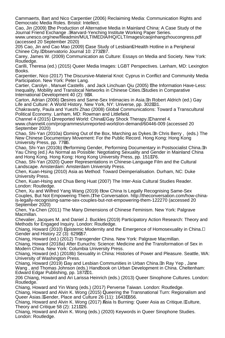Cammaerts, Bart and Nico Carpentier (2006) Reclaiming Media: Communication Rights and Democratic Media Roles. Bristol: Intellect.

Cao, Jin (2009) The Production of Alternative Media in Mainland China: A Case Study of the Journal Friend Exchange . Harvard-Yenching Institute Working Paper Series.

www.unesco.org/new/fileadmin/MULTIMEDIA/HQ/CLT/images/caojinhangzhoucongress.pdf (accessed 20 September 2020)

205 Cao, Jin and Cao Mao (2009) Case Study of Lesbians Health Hotline in a Peripheral Chinee City. Observatorio Journal 10: 273287.

Carey, James W. (2009) Communication as Culture: Essays on Media and Society. New York: Routledge.

Carilli, Theresa (ed.) (2015) Queer Media Images: LGBT Perspectives. Lanham, MD: Lexington Books.

Carpentier, Nico (2017) The Discursive-Material Knot: Cyprus in Conflict and Community Media Participation. New York: Peter Lang.

Cartier, Carolyn, Manuel Castells, and Jack Linchuan Qiu (2005) The Information Have-Less: Inequality, Mobility and Translocal Networks in Chinese Cities. Studies in Comparative International Development 40 (2): 934.

Carton, Adrian (2006) Desires and Same-Sex Intimacies in Asia. In Robert Aldrich (ed.) Gay Life and Culture: A World History. New York, NY: Universe, pp. 302â331.

Chakravarty, Paula and Yuezhi Zhao (2008) Global Communications: Toward a Transcultural Political Economy. Lanham, MD: Rowman and Littlefield.

Channel 4 (2015) Unreported World: Chinas Gay Shock Therapy. Channel 4.

www.channel4.com/programmes/unreported-world/on-demand/60446-009 (accessed 20 September 2020)

Chao, Shi-Yan (2010a) Coming Out of the Box, Marching as Dykes. In Chris Berry , (eds.) The New Chinese Documentary Movement: For the Public Record. Hong Kong: Hong Kong University Press, pp. 7796.

Chao, Shi-Yan (2010b) Performing Gender, Performing Documentary in Postsocialist China. In Yau Ching (ed.) As Normal as Possible: Negotiating Sexuality and Gender in Mainland China and Hong Kong. Hong Kong: Hong Kong University Press, pp. 151176.

Chao, Shi-Yan (2020) Queer Representations in Chinese-Language Film and the Cultural Landscape. Amsterdam: Amsterdam University Press.

Chen, Kuan-Hsing (2010) Asia as Method: Toward Deimperialisation. Durham, NC: Duke University Press.

Chen, Kuan-Hsing and Chua Beng Huat (2007) The Inter-Asia Cultural Studies Reader. London: Routledge.

Chen, Xu and Wilfred Yang Wang (2019) How China Is Legally Recognising Same-Sex Couples, But Not Empowering Them. The Conversation. http://theconversation.com/how-chinais-legally-recognising-same-sex-couples-but-not-empowering-them-122270 (accessed 20 September 2020)

Chen, Ya-Chen (2011) The Many Dimensions of Chinese Feminism. New York: Palgrave Macmillan.

Chevalier, Jacques M. and Daniel J. Buckles (2019) Participatory Action Research: Theory and Methods for Engaged Inquiry. London: Routledge.

Chiang, Howard (2010) Epistemic Modernity and the Emergence of Homosexuality in China. Gender and History  $22^{6}$  (3): 629657.

Chiang, Howard (ed.) (2012) Transgender China. New York: Palgrave Macmillan.

Chiang, Howard (2018a) After Eunuchs: Science: Medicine and the Transformation of Sex in Modern China. New York: Columbia University Press.

Chiang, Howard (ed.) (2018b) Sexuality in China: Histories of Power and Pleasure. Seattle, WA: University of Washington Press.

Chiang, Howard (2019) Gay and Lesbian Communities in Urban China. In Ray Yep, Jane Wang , and Thomas Johnson (eds.) Handbook on Urban Development in China. Cheltenham: Edward Edgar Publishing, pp. 187201.

206 Chiang, Howard and Ari Larissa Heinrich (eds.) (2013) Queer Sinophone Cultures. London: Routledge.

Chiang, Howard and Yin Wang (eds.) (2017) Perverse Taiwan. London: Routledge.

Chiang, Howard and Alvin K. Wong (2015) Queering the Transnational Turn: Regionalism and Queer Asias. Gender, Place and Culture 26 (11): 16431656.

Chiang, Howard and Alvin K. Wong (2017) Asia Is Burning: Queer Asia as Critique. Culture, Theory and Critique 58  $(2)$ : 12112 $\delta$ .

Chiang, Howard and Alvin K. Wong (eds.) (2020) Keywords in Queer Sinophone Studies. London: Routledge.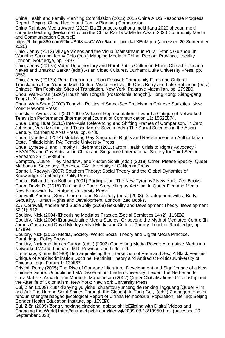China Health and Family Planning Commission (2015) 2015 China AIDS Response Progress Report. Beijing: China Health and Family Planning Commission.

China Rainbow Media Award (2020) Jia Zhongguo caihong meiti jiang 2020 shequn meiti chuanbo kechengâ [âWelcome to Join the China Rainbow Media Award 2020 Community Media and Communication Coursel.

https://ff.lingxi360.com/f?fid=B9t8c=sCJWcc6&utm\_bccid=LXEnMqua (accessed 20 September 2020)

Chio, Jenny (2012) Village Videos and the Visual Mainstream in Rural, Ethnic Guizhou. In Wanning Sun and Jenny Chio (eds.) Mapping Media in China: Region, Province, Locality. London: Routledge, pp. 7993.

Chio, Jenny (2017a) Video Documentary and Rural Public Culture in Ethnic China. In Joshua Neves and Bhaskar Sarkar (eds.) Asian Video Cultures. Durham: Duke University Press, pp. 3553.

Chio, Jenny (2017b) Rural Films in an Urban Festival: Community Films and Cultural Translation at the Yunnan Multi Culture Visual Festival. In Chris Berry and Luke Robinson (eds.) Chinese Film Festivals: Sites of Translation. New York: Palgrave Macmillan, pp. 279â299. Chou, Wah-Shan (1997) Houzhimin Tongzhi [Postcolonial tongzhi]. Hong Kong: Xiang-gang

Tongzhi Yanjiushe. Chou, Wah-Shan (2000) Tongzhi: Politics of Same-Sex Eroticism in Chinese Societies. New

York: Haworth Press.

Christian, Aymar Jean (2017) The Value of Representation: Toward a Critique of Networked Television Performance. International Journal of Communication 11: 15521574.

Chua, Beng Huat (2015) Inter-Asia Referencing and Shifting Frames of Comparison. In Carol Johnson, Vera Mackie , and Tessa Morris-Suzuki (eds.) The Social Sciences in the Asian Century. Canberra: ANU Press, pp. 6780.

Chua, Lynette J. (2014) Mobilising Gay Singapore: Rights and Resistance in an Authoritarian State. Philadelphia, PA: Temple University Press.

Chua, Lynette J. and Timothy Hildebrandt (2013) From Health Crisis to Rights Advocacy? HIV/AIDS and Gay Activism in China and Singapore. International Society for Third Sector Research 25: 15831605.

Compton, DLane, Tey Meadow, and Kristen Schilt (eds.) (2018) Other, Please Specify: Queer Methods in Sociology. Berkeley, CA: University of California Press.

Connell, Raewyn (2007) Southern Theory: Social Theory and the Global Dynamics of Knowledge. Cambridge: Polity Press.

Cooke, Bill and Uma Kothari (2001) Participation: The New Tyranny? New York: Zed Books. Coon, David R. (2018) Turning the Page: Storytelling as Activism in Queer Film and Media. New Brunswick, NJ: Rutgers University Press.

Cornwall, Andrea , Sonia Correa , and Susie Jolly (eds.) (2008) Development with a Body: Sexuality, Human Rights and Development. London: Zed Books.

207 Cornwall, Andrea and Susie Jolly (2009) Sexuality and Development Theory. Development  $52$  (1):  $512$ .

Couldry, Nick (2004) Theorising Media as Practice. Social Semiotics 14 (2): 115132.

Couldry, Nick (2006) Transvaluating Media Studies: Or beyond the Myth of Mediated Centre. In James Curran and David Morley (eds.) Media and Cultural Theory. London: Rout-ledge, pp. 177194.

Couldry, Nick (2012) Media, Society, World: Social Theory and Digital Media Practice. Cambridge: Policy Press.

Couldry, Nick and James Curran (eds.) (2003) Contesting Media Power: Alternative Media in a Networked World. Lanham, MD: Rowman and Littlefield.

Crenshaw, Kimberl (1989) Demarginalising the Intersection of Race and Sex: A Black Feminist Critique of Antidiscrimination Doctrine, Feminist Theory and Antiracist Politics. University of Chicago Legal Forum 1: 139167.

Cristini, Remy (2005) The Rise of Comrade Literature: Development and Significance of a New Chinese Genre. Unpublished MA Dissertation. Leiden University, Leiden, the Netherlands. Cruz-Malave, Arnaldo and Martin F. Manalansan (2002) Queer Globalisations: Citizenship and the Afterlife of Colonialism. New York: New York University Press.

Cui, Zien (2008) Kuer dianying yu yishu: chuantou yunceng de renxing lingguang [Queer Film and Art: The Human Spirit Shines Through the Clouds]. In Tong Ge, (eds.) Zhongguo tongzhi renqun shengtai baogao [Ecological Report of Chinas Homosexual Population]. Beijing: Beijing Gender Health Education Institute, pp. 159176.

Cui, Zien (2009) Yong yingxiang xingdong, gaizao shijie [Acting with Digital Videos and Changing the Worldâ]. http://channel.pybk.com/life/rwjl/2009-08-18/19950.html (accessed 20 September 2020)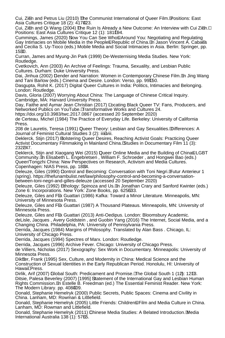Cui, Zien and Petrus Liu (2010) The Communist International of Oueer Film. Positions: East Asia Cultures Critique  $18(2)$ :  $417423$ .

Cui, Zien and Oi Wang (2004) The Ruin Is Already a New Outcome: An Interview with Cui Zien. Positions: East Asia Cultures Critique 12 (1): 181194.

Cummings, James (2020) Now You Can See Whos Around You: Negotiating and Regulating Gay Intimacies on Mobile Media in the Peoples Republic of China. In Jason Vincent A. Cabaes and Cecilia S. Uy-Tioco (eds.) Mobile Media and Social Intimacies in Asia. Berlin: Springer, pp. 15â30.

Curran, James and Myung-Jin Park (1999) De-Westernising Media Studies. New York: Routledge.

Cvetkovich, Ann (2003) An Archive of Feelings: Trauma, Sexuality, and Lesbian Public Cultures. Durham: Duke University Press.

Dai, Jinhua (2002) Gender and Narration: Women in Contemporary Chinese Film. In Jing Wang and Tani Barlow (eds.) Cinema and Desire. London: Verso, pp. 99150.

Dasgupta, Rohit K. (2017) Digital Queer Cultures in India: Politics, Intimacies and Belonging. London: Routledge.

Davis, Gloria (2007) Worrying About China: The Language of Chinese Critical Inquiry. Cambridge, MA: Harvard University Press.

Day, Faithe and Aymar Jean Christian (2017) Locating Black Queer TV: Fans, Producers, and Networked Publics on YouTube. Transformative Works and Cultures 24.

https://doi.org/10.3983/twc.2017.0867 (accessed 20 September 2020)

de Certeau, Michel (1984) The Practice of Everyday Life. Berkeley: University of California Press.

208 de Lauretis, Teresa (1991) Queer Theory: Lesbian and Gay Sexualities. Differences: A Journal of Feminist Cultural Studies 3 (2): iiixviii.

Deklerck, Stijn (2017) Bolstering Queer Desires, Reaching Activist Goals: Practicing Queer Activist Documentary Filmmaking in Mainland China. Studies in Documentary Film 11 (3): 232247.

Deklerck, Stijn and Xiaogang Wei (2015) Queer Online Media and the Building of Chinas LGBT Community. In Elisabeth L. Engebretsen , William F. Schroeder , and Hongwei Bao (eds.) Queer/Tongzhi China: New Perspectives on Research, Activism and Media Cultures. Copenhagen: NIAS Press, pp. 18â34.

Deleuze, Giles (1990) Control and Becoming: Conversation with Toni Negri. Futur Anterieur 1 (spring). https://thefunambulist.net/law/philosophy-control-and-becoming-a-conversationbetween-toni-negri-and-gilles-deleuze (accessed 20 September 2020)

Deleuze, Giles (1992) Ethology: Spinoza and Us. In Jonathan Crary and Sanford Kwinter (eds.) Zone 6: Incorporations. New York: Zone Books, pp. 625633.

Deleuze, Giles and Flix Guattari (1986) Kafka: Toward a Minor Literature. Minneapolis, MN: University of Minnesota Press.

Deleuze, Giles and Flix Guattari (1987) A Thousand Plateaus. Minneapolis, MN: University of Minnesota Press.

Deleuze, Giles and Flix Guattari (2013) Anti-Oedipus. London: Bloomsbury Academic.

deLisle, Jacques , Avery Goldstein , and Guobin Yang (2016) The Internet, Social Media, and a Changing China. Philadelphia, PA: University of Pennsylvania Press.

Derrida, Jacques (1984) Margins of Philosophy. Translated by Alan Bass . Chicago, IL: University of Chicago Press.

Derrida, Jacques (1994) Spectres of Marx. London: Routledge.

Derrida, Jacques (1996) Archive Fever. Chicago: University of Chicago Press.

de Villiers, Nicholas (2017) Sexography: Sex Work in Documentary. Minneapolis: University of Minnesota Press.

Diktter, Frank (1995) Sex, Culture, and Modernity in China: Medical Science and the Construction of Sexual Identities in the Early Republican Period. Honolulu, HI: University of Hawaii Press.

Dirlik, Arif (2007) Global South: Predicament and Promise. The Global South 1 (12): 1213. Ditsie, Palesa Beverley (2007) [1995] Statement of the International Gay and Lesbian Human Rights Commission. In Estelle B. Freedman (ed.) The Essential Feminist Reader. New York: The Modern Library. pp. 408409.

Donald, Stephanie Hemelryk (2000) Public Secrets, Public Spaces: Cinema and Civility in China. Lanham, MD: Rowman & Littlefield.

Donald, Stephanie Hemelryk (2005) Little Friends: Childrenâs Film and Media Culture in China. Lanham, MD: Rowman and Littlefield.

Donald, Stephanie Hemelryk (2011) Chinese Media Studies: A Belated Introduction. Media International Australia 138 (1): 5765.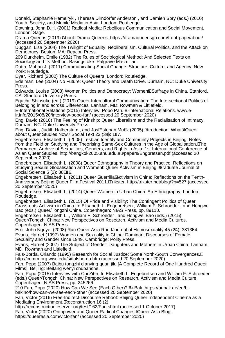Donald, Stephanie Hemelryk , Theresa Dirndorfer Anderson , and Damien Spry (eds.) (2010) Youth, Society, and Mobile Media in Asia. London: Routledge.

Downing, John D.H. (2001) Radical Media: Rebellious Communication and Social Movement. London: Sage.

Drama Queens (2019) About. Drama Queens. https://dramagueensgh.com/front-page/about/ (accessed 20 September 2020)

Duggan, Lisa (2004) The Twilight of Equality: Neoliberalism, Cultural Politics, and the Attack on Democracy. Boston, MA: Beacon Press.

209 Durkheim, Emile (1982) The Rules of Sociological Method: And Selected Texts on Sociology and Its Method. Basingstoke: Palgrave Macmillan.

Dutta, Mohan J. (2011) Communicating Social Change: Structure, Culture, and Agency. New York: Routledge.

Dyer, Richard (2002) The Culture of Queers. London: Routledge.

Edelman, Lee (2004) No Future: Queer Theory and Death Drive. Durham, NC: Duke University Press.

Edwards, Louise (2008) Women Politics and Democracy: Womens Suffrage in China. Stanford, CA: Stanford University Press.

Eguchi, Shinsuke (ed.) (2019) Queer Intercultural Communication: The Intersectional Politics of Belonging in and across Differences. Lanham, MD: Rowman & Littlefield.

E-International Relations (2015) Interview: Popo Pan. E-International Relations. www.eir.info/2015/08/20/interview-popo-fan/ (accessed 20 September 2020)

Eng, David (2010) The Feeling of Kinship: Queer Liberalism and the Racialisation of Intimacy. Durham, NC: Duke University Press.

Eng, David, Judith Halberstam, and Jos Esteban Muoz (2005) Introduction: Whats Oueer about Queer Studies Now? Social Text 23 (34): 117.

Engebretsen, Elisabeth L. (2005) Lesbian Identity and Community Projects in Beijing: Notes from the Field on Studying and Theorising Same-Sex Cultures in the Age of Globalisation. The Permanent Archive of Sexualities, Genders, and Rights in Asia: 1st International Conference of Asian Queer Studies. http://bangkok2005.anu.edu.au/papers/Engbretsen.pdf (accessed 20 September 2020)

Engebretsen, Elisabeth L. (2008) Queer Ethnography in Theory and Practice: Reflections on Studying Sexual Globalisation and Womens Queer Activism in Beijing. Graduate Journal of Social Science 5 (2): 88116.

Engebretsen, Elisabeth L. (2011) Queer Guerrilla Activism in China: Reflections on the Tenth-Anniversary Beijing Queer Film Festival 2011. Trikster. http://trikster.net/blog/?p=527 (accessed 20 September 2020)

Engebretsen, Elisabeth L. (2014) Queer Women in Urban China: An Ethnography. London: Routledge.

Engebretsen, Elisabeth L. (2015) Of Pride and Visibility: The Contingent Politics of Queer Grassroots Activism in China. In Elisabeth L. Engebretsen, William F. Schroeder, and Hongwei Bao (eds.) Queer/Tongzhi China. Copenhagen: NIAS Press, pp. 89110.

Engebretsen, Elisabeth L. , William F. Schroeder , and Hongwei Bao (eds.) (2015) Queer/Tongzhi China: New Perspectives on Research, Activism and Media Cultures. Copenhagen: NIAS Press.

Erni, John Nguyet (2008) Run Queer Asia Run. Journal of Homosexuality 45 (24): 381384. Evans, Harriet (1997) Women and Sexuality in China: Dominant Discourses of Female Sexuality and Gender since 1949. Cambridge: Polity Press.

Evans, Harriet (2007) The Subject of Gender: Daughters and Mothers in Urban China. Lanham, MD: Rowman and Littlefield.

Fals-Borda, Orlando (1995) Research for Social Justice: Some North-South Convergences.

http://comm-org.wisc.edu/si/falsborda.htm (accessed 20 September 2020)

Fan, Popo (2007) Baibu tongzhi dianying quan jilu [A Complete Record of One Hundred Queer Films]. Beijing: Beifang wenyi chubanshe.

Fan, Popo (2015) Interview with Cui Zien. In Elisabeth L. Engebretsen and William F. Schroeder (eds.) Queer/Tongzhi China: New Perspectives on Research, Activism and Media Culture. Copenhagen: NIAS Press, pp. 245266.

210 Fan, Popo (2020) How Can We See (Each Other)? Bi-Bak. https://bi-bak.de/en/bibakino/how-can-we-see-each-other (accessed 20 September 2020)

Fan, Victor (2016) âFree-Indirect-Discourse Reboot: Beijing Queer Independent Cinema as a Mediating Environment. Reconstruction 16 (2).

http://reconstruction.eserver.org/test/162/Fan.shtml (accessed 1 October 2017)

Fan, Victor (2020) Ontopower and Queer Radical Changes. Queer Asia Blog.

https://queerasia.com/victorfan/ (accessed 20 September 2020)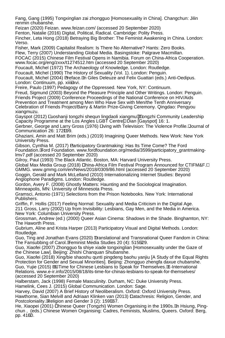Fang, Gang (1995) Tongxinglian zai zhongguo [Homosexuality in China]. Changchun: Jilin renmin chubanshe.

Feizan (2020) Feizan. www.feizan.com/ (accessed 20 September 2020)

Fenton, Natalie (2016) Digital, Political, Radical. Cambridge: Polity Press.

Fincher, Leta Hong (2018) Betraying Big Brother: The Feminist Awakening in China. London: Verso.

Fisher, Mark (2009) Capitalist Realism: Is There No Alternative? Hants: Zero Books.

Flew, Terry (2007) Understanding Global Media. Basingstoke: Palgrave Macmillan.

FOCAC (2015) Chinese Film Festival Opens in Namibia. Forum on China-Africa Cooperation. www.focac.org/eng/zxxx/t1274512.htm (accessed 20 September 2020)

Foucault, Michel (1972) The Archaeology of Knowledge. London: Routledge.

Foucault, Michel (1990) The History of Sexuality (Vol. 1). London: Penguin.

Foucault, Michel (2004) Preface. In Giles Deleuze and Felix Guattari (eds.) Anti-Oedipus. London: Continuum, pp. xiiixxvi.

Freire, Paulo (1997) Pedagogy of the Oppressed. New York, NY: Continuum.

Freud, Sigmund (2003) Beyond the Pleasure Principle and Other Writings. London: Penguin. Friends Project (2009) Conference Proceedings of the National Conference on HIV/Aids Prevention and Treatment among Men Who Have Sex with Men/the Tenth Anniversary Celebration of Friends Project/Barry & Martin Prize-Giving Ceremony. Qingdao: Pengyou xiangmuzu.

Gayspot (2012) Luoshanji tongzhi shequn lingdaoli xiangmu [Tongzhi Community Leadership Capacity Programme at the Los Angles LGBT Centre]. Dian [Gayspot] 16: 1.

Gerbner, George and Larry Gross (1976) Living with Television: The Violence Profile. Journal of Communication 26: 172199.

Ghaziani, Amin and Matt Brim (eds.) (2019) Imagining Queer Methods. New Work: New York University Press.

Gibson, Cynthia M. (2017) Participatory Grantmaking: Has Its Time Come? The Ford Foundation. Ford Foundation. www.fordfoundation.org/media/3599/participatory\_grantmakinglmv7.pdf (accessed 20 September 2020)

Gilroy, Paul (1993) The Black Atlantic. Boston, MA: Harvard University Press.

Global Max Media Group (2018) China-Africa Film Festival Program Announced for CTIFM&F. GMMG. www.gmmg.com/en/News/2018/0309/86.html (accessed 20 September 2020)

Goggin, Gerald and Mark McLelland (2010) Internationalizing Internet Studies: Beyond Anglophone Paradigms. London: Routledge.

Gordon, Avery F. (2008) Ghostly Matters: Haunting and the Sociological Imagination. Minneapolis, MN: University of Minnesota Press.

Gramsci, Antonio (1971) Selections from the Prison Notebooks. New York: International Publishers.

Griffin, F. Hollis (2017) Feeling Normal: Sexuality and Media Criticism in the Digital Age. 211 Gross, Larry (2002) Up from Invisibility: Lesbians, Gay Men, and the Media in America. New York: Columbian University Press.

Grossman, Andrew (ed.) (2000) Queer Asian Cinema: Shadows in the Shade. Binghamton, NY: The Haworth Press.

Gubrium, Aline and Krista Harper (2013) Participatory Visual and Digital Methods. London: Routledge.

Guo, Ting and Jonathan Evans (2020) Translational and Transnational Queer Fandom in China: The Fansubbing of Carol. Feminist Media Studies 20 (4): 515529.

Guo, Xiaofei (2007) Zhongguo fa shiye xiade tongxinglian [Homosexuality under the Gaze of the Chinese Law]. Beijing: Zhishi Chanquan Shubanshe.

Guo, Xiaofei (2018) Xing/bie shaoshu qunti pingdeng baohu yanjiu [A Study of the Equal Rights Protection for Gender and Sexual Minorities]. Beijing: Zhongguo zhengfa daxue chubanshe. Guo, Yujie (2015) Its Time for Chinese Lesbians to Speak for Themselves. E-International Relations. www.e-ir.info/2015/08/18/its-time-for-chinas-lesbians-to-speak-for-themselves/ (accessed 20 September 2020)

Halberstam, Jack (1998) Female Masculinity. Durham, NC: Duke University Press. Hamelink, Cees J. (2015) Global Communication. London: Sage.

Harvey, David (2007) A Brief History of Neoliberalism. Oxford: Oxford University Press. Hawthorne, Sian Melvill and Adriaan Klinken van (2013) Catachresis: Religion, Gender, and Postcoloniality. Religion and Gender 3 (2): 159167.

He, Xiaopei (2001) Chinese Queer (Tongzhi) Women Organising in the 1990s, In Hsiung, Pingchun , (eds.) Chinese Women Organising: Cadres, Feminists, Muslims, Queers. Oxford: Berg, pp. 4160.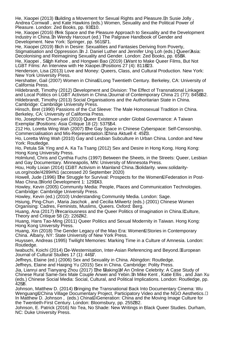He, Xiaopei (2013) Building a Movement for Sexual Rights and Pleasure. In Susie Jolly Andrea Cornwall , and Kate Hawkins (eds.) Women, Sexuality and the Political Power of Pleasure. London: Zed Books, pp. 93110.

He, Xiaopei (2016) Pink Space and the Pleasure Approach to Sexuality and the Development Industry in China. In Wendy Harcourt (ed.) The Palgrave Handbook of Gender and Development. New York: Springer, pp. 561571.

He, Xiaopei (2019) Rich in Desire: Sexualities and Fantasies Deriving from Poverty, Stigmatisation and Oppression. In J. Daniel Luther and Jennifer Ung Loh (eds.) Queer Asia: Decolonising and Reimagining Sexuality and Gender. London: Zed Books, pp. 65â84.

He, Xiaopei, Sagh Kehoe, and Hongwei Bao (2019) I Want to Make Queer Films, But Not LGBT Films: An Interview with He Xiaopei. Positions 27 (4): 811823.

Henderson, Lisa (2013) Love and Money: Queers, Class, and Cultural Production. New York: New York University Press.

Hershatter, Gail (2007) Women in Chinas Long Twentieth Century. Berkeley, CA: University of California Press.

Hildebrandt, Timothy (2012) Development and Division: The Effect of Transnational Linkages and Local Politics on LGBT Activism in China. Journal of Contemporary China 21 (77): 845862. Hildebrandt, Timothy (2013) Social Organisations and the Authoritarian State in China. Cambridge: Cambridge University Press.

Hinsch, Bret (1990) Passions of the Cut Sleeve: The Male Homosexual Tradition in China. Berkeley, CA: University of California Press.

Ho, Josephine Chuen-juei (2010) Queer Existence under Global Governance: A Taiwan Exemplar. Positions: Asia Critique 18 (2): 537554.

212 Ho, Loretta Wing Wah (2007) The Gay Space in Chinese Cyberspace: Self-Censorship, Commercialisation and Mis-Representation. China Aktuell 4: 4573.

Ho, Loretta Wing Wah (2010) Gay and Lesbian Subculture in Urban China. London and New York: Routledge.

Ho, Petula Sik Ying and A. Ka Ta Tsang (2012) Sex and Desire in Hong Kong. Hong Kong: Hong Kong University Press.

Holmlund, Chris and Cynthia Fuchs (1997) Between the Sheets, in the Streets: Queer, Lesbian and Gay Documentary. Minneapolis, MN: University of Minnesota Press.

Hou, Holly Lixian (2014) LGBT Activism in Mainland China. Solidarity. www.solidarityus.org/node/4289#N1 (accessed 20 September 2020)

Howell, Jude (1996) The Struggle for Survival: Prospects for the Womens Federation in Post-Mao China. World Development 1: 129143.

Howley, Kevin (2005) Community Media: People, Places and Communication Technologies. Cambridge: Cambridge University Press.

Howley, Kevin (ed.) (2010) Understanding Community Media. London: Sage.

Hsiung, Ping-Chun , Maria Jaschok , and Cecilia Milwertz (eds.) (2001) Chinese Women Organising: Cadres, Feminists, Muslims, Queers. Oxford: Berg.

Huang, Ana (2017) Precariousness and the Queer Politics of Imagination in China. Culture, Theory and Critique 58  $(2)$ : 226242.

Huang, Hans Tao-Ming (2011) Queer Politics and Sexual Modernity in Taiwan. Hong Kong: Hong Kong University Press.

Huang, Xin (2018) The Gender Legacy of the Mao Era: Womens Stories in Contemporary China. Albany, NY: State University of New York Press.

Huyssen, Andreas (1995) Twilight Memories: Marking Time in a Culture of Amnesia. London: Routledge.

Iwabuchi, Koichi (2014) De-Westernisation, Inter-Asian Referencing and Beyond. European Journal of Cultural Studies 17 (1): 4457.

Jeffreys, Elaine (ed.) (2006) Sex and Sexuality in China. Abingdon: Routledge.

Jeffreys, Elaine and Haiqing Yu (2015) Sex in China. Cambridge: Polity Press.

Jia, Lianrui and Tianyang Zhou (2017) The Making of An Online Celebrity: A Case Study of Chinese Rural Same-Sex Male Couple Anwei and Yebin. In Mike Kent, Katie Ellis, and Jian Xu (eds.) Chinese Social Media: Social, Cultural, and Political Implications. London: Routledge, pp. 4258.

Johnson, Matthew D. (2014) Bringing the Transnational Back Into Documentary Cinema: Wu Wenguangs China Village Documentary Project, Participatory Video and the NGO Aesthetics. In Matthew D. Johnson, (eds.) Chinas iGeneration: China and the Moving Image Culture for the Twentieth-First Century. London: Bloomsbury, pp. 255282.

Johnson, E. Patrick (2016) No Tea, No Shade: New Writings in Black Queer Studies. Durham, NC: Duke University Press.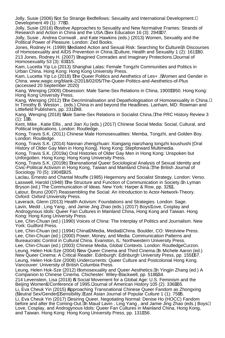Jolly, Susie (2006) Not So Strange Bedfellows: Sexuality and International Development. Development 49 (1): 77â80.

Jolly, Susie (2016) Positive Approaches to Sexuality and New Normative Frames: Strands of Research and Action in China and the USA. Sex Education 16 (3): 294307.

Jolly, Susie , Andrea Cornwall , and Kate Hawkins (eds.) (2013) Women, Sexuality and the Political Power of Pleasure. London: Zed Books.

Jones, Rodney H. (1999) Mediated Action and Sexual Risk: Searching for Culture in Discourses of Homosexuality and AIDS Prevention in China. Culture, Health and Sexuality 1 (2): 161180. 213 Jones, Rodney H. (2007) Imagined Comrades and Imaginary Protections. Journal of Homosexuality  $53(3)$ :  $83115$ .

Kam, Lucetta Yip Lo (2013) Shanghai Lalas: Female Tongzhi Communities and Politics in Urban China. Hong Kong: Hong Kong University Press.

Kam, Lucetta Yip Lo (2018) The Queer Politics and Aesthetics of Les+ . Women and Gender in China. www.wagic.org/blank-2/2018/02/05/The-Queer-Politics-and-Aesthetics-of-Plus (accessed 20 September 2020)

Kang, Wenging (2009) Obsession: Male Same-Sex Relations in China, 19001950. Hong Kong: Hong Kong University Press.

Kang, Wenging (2012) The Decriminalisation and Depathologisation of Homosexuality in China. In Timothy B. Weston , (eds.) China in and beyond the Headlines. Lanham, MD: Rowman and Littlefield Publishers, pp. 231248.

Kang, Wenging (2018) Male Same-Sex Relations in Socialist China. The PRC History Review 3  $(1)$ : 136.

Kent, Mike , Katie Ellis , and Jian Xu (eds.) (2017) Chinese Social Media: Social, Cultural, and Political Implications. London: Routledge.

Kong, Travis S.K. (2011) Chinese Male Homosexualities: Memba, Tongzhi, and Golden Boy. London: Routledge.

Kong, Travis S.K. (2014) Nannan zhengzhuan: Xiangang nianzhang tongzhi koushushi [Oral History of Older Gay Men in Hong Kong]. Hong Kong: Stepforward Multimedia.

Kong, Travis S.K. (2019a) Oral Histories of Older Gay Men in Hong Kong: Unspoken but Unforgotten. Hong Kong: Hong Kong University Press.

Kong, Travis S.K. (2019b) Transnational Queer Sociological Analysis of Sexual Identity and Civic-Political Activism in Hong Kong, Taiwan and Mainland China. The British Journal of Sociology 70 (5): 19041925.

Laclau, Ernesto and Chantal Mouffe (1985) Hegemony and Socialist Strategy. London: Verso. Lasswell, Harold (1948) The Structure and Function of Communication in Society. In Lyman Bryson (ed.) The Communication of Ideas. New York: Harper & Row, pp. 3251.

Latour, Bruno (2007) Reassembling the Social: An Introduction to Actor-Network-Theory. Oxford: Oxford University Press.

Laverack, Glenn (2013) Health Activism: Foundations and Strategies. London: Sage. Lavin, Medd, Ling Yang, and Jamie Jing Zhao (eds.) (2017) Boys Love, Cosplay and Androgynous Idols: Queer Fan Cultures in Mainland China, Hong Kong and Taiwan. Hong Kong: Hong Kong University Press.

Lee, Chin-Chuan (ed.) (1990) Voices of China: The Interplay of Politics and Journalism. New York: Guilford Press.

Lee, Chin-Chuan (ed.) (1994) Chinas Media, Medias China. Boulder, CO: Westview Press. Lee, Chin-Chuan (ed.) (2000) Power, Money, and Media: Communication Patterns and Bureaucratic Control in Cultural China. Evanston, IL: Northwestern University Press. Lee, Chin-Chuan (ed.) (2003) Chinese Media, Global Contexts. London: RoutledgeCurzon.

Leung, Helen Hok-Sze (2004) New Oueer Cinema and Third Cinema. In Michele Aaron (ed.) New Queer Cinema: A Critical Reader. Edinburgh: Edinburgh University Press, pp. 155167. Leung, Helen Hok-Sze (2008) Undercurrents: Queer Culture and Postcolonial Hong Kong. Vancouver: University of British Columbia Press.

Leung, Helen Hok-Sze (2012) Homosexuality and Queer Aesthetics. In Yingjin Zhang (ed.) A Companion to Chinese Cinema. Chichester: Wiley-Blackwell, pp. 518534.

214 Levenstein, Lisa (2018) A Social Movement for a Global Age: U.S. Feminism and the Beijing Womens Conference of 1995. Journal of American History 105 (2): 336365.

Li, Eva Cheuk Yin (2015) Approaching Transnational Chinese Queer Fandom as Zhongxing (Neutral Sex/Gender) Sensibility. East Asian Journal of Popular Culture 1 (1): 7595.

Li, Eva Cheuk Yin (2017) Desiring Queer, Negotiating Normal: Denise Ho (HOCC) Fandom before and after the Coming-Out. In Maud Lavin, Ling Yang, and Jamie Jing Zhao (eds.) Boys Love, Cosplay, and Androgynous Idols: Queer Fan Cultures in Mainland China, Hong Kong, and Taiwan. Hong Kong: Hong Kong University Press, pp. 131156.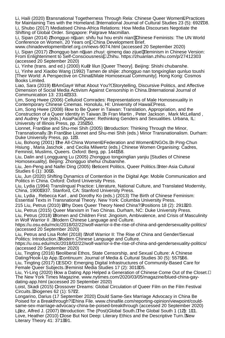Li, Haili (2020) Transnational Togetherness Through Rela: Chinese Oueer Womens Practices for Maintaining Ties with the Homeland. International Journal of Cultural Studies 23 (5): 692708. Li, Shubo (2017) Mediatised China-Africa Relations: How Media Discourses Negotiate the Shifting of Global Order. Singapore: Palgrave Macmillan.

Li, Sipan (2014) Zhongguo nguan: shifu hui hou ershi nian [Chinese Feminists: The UN World Conference on Women, 20 Years on]. China Development Brief.

www.chinadevelopmentbrief.org.cn/news-9074.html (accessed 20 September 2020) Li, Sipan (2017) Zhongguo ban nquan zhuyi: qimeng dao zijue [Feminism in Chinese Version: From Enlightenment to Self-Consciousness]. Zhihu. https://zhuanlan.zhihu.com/p/27412303 (accessed 20 September 2020)

Li, Yinhe (trans. and ed.) (2000) Kuâer lilun [Queer Theory]. Beijing: Shishi chubanshe.

Li, Yinhe and Xiaobo Wang (1992) Tamen de shijie: zhongguo nan tongxinglian qunluo toushi [Their World: A Perspective on Chinaâs Male Homosexual Community]. Hong Kong: Cosmos Books Limited.

Liao, Sara (2019) #IAmGay# What About You?: Storytelling, Discursive Politics, and Affective Dimension of Social Media Activism Against Censorship in China. International Journal of Communication 13: 2314â2333.

Lim, Song Hwee (2006) Celluloid Comrades: Representations of Male Homosexuality in Contemporary Chinese Cinemas. Honolulu, HI: University of Hawaii Press.

Lim, Song Hwee (2008) How to Be Queer in Taiwan: Translation, Appropriation, and the Construction of a Queer Identity in Taiwan. In Fran Martin , Peter Jackson , Mark McLelland , and Audrey Yue (eds.) AsiaPacifiQueer: Rethinking Genders and Sexualities. Urbana, IL: University of Illinois Press, pp. 235250.

Lionnet, Franoise and Shu-mei Shih (2005) Introduction: Thinking Through the Minor, Transnationally. In Franoise Lionnet and Shu-mei Shih (eds.) Minor Transnationalism. Durham: Duke University Press, pp. 123.

Liu, Bohong (2001) The All-China Womens Federation and Womens NGOs. In Ping-Chun Hsiung , Maria Jaschok , and Cecilia Milwertz (eds.) Chinese Women Organising: Cadres, Feminist, Muslims, Queers. Oxford: Berg, pp. 144158.

Liu, Dalin and Longguang Lu (2005) Zhongguo tongxinglian yanjiu [Studies of Chinese Homosexuality]. Beijing: Zhongguo shehui chubanshe.

Liu, Jen-Peng and Naifei Ding (2005) Reticent Politics, Queer Politics. Inter-Asia Cultural Studies  $6(1)$ : 3055.

Liu, Jun (2020) Shifting Dynamics of Contention in the Digital Age: Mobile Communication and Politics in China. Oxford: Oxford University Press.

Liu, Lydia (1994) Translingual Practice: Literature, National Culture, and Translated Modernity, China, 19001937. Stanford, CA: Stanford University Press.

Liu, Lydia , Rebecca Karl , and Dorothy Ko (eds.) (2013) The Birth of Chinese Feminism: Essential Texts in Transnational Theory. New York: Columbia University Press.

215 Liu, Petrus (2010) Why Does Queer Theory Need China? Positions 18 (2): 291320.

Liu, Petrus (2015) Queer Marxism in Two Chinas. Durham, NC: Duke University Press.

Liu, Petrus (2018) Women and Children First: Jingoism, Ambivalence, and Crisis of Masculinity in Wolf Warrior II. Modern Chinese Language and Culture.

https://u.osu.edu/mclc/2018/02/22/wolf-warrior-ii-the-rise-of-china-and-gendersexuality-politics/ (accessed 20 September 2020)

Liu, Petrus and Lisa Rofel (2018) Wolf Warrior II: The Rise of China and Gender/Sexual Politics: Introduction. Modern Chinese Language and Culture.

https://u.osu.edu/mclc/2018/02/22/wolf-warrior-ii-the-rise-of-china-and-gendersexuality-politics/ (accessed 20 September 2020)

Liu, Tingting (2016) Neoliberal Ethos, State Censorship, and Sexual Culture: A Chinese Dating/Hook-Up App. Continuum: Journal of Media & Cultural Studies 30 (5): 557566. Liu, Tingting (2017) LESDO: Emerging Digital Infrastructures of Community-Based Care for Female Queer Subjects. Feminist Media Studies 17 (2): 301305.

Liu, Yi-Ling (2020) How a Dating App Helped a Generation of Chinese Come Out of the Closet. The New York Times Magazine. www.nytimes.com/2020/03/05/magazine/blued-china-gaydating-app.html (accessed 20 September 2020)

Loist, Skadi (2015) Crossover Dreams: Global Circulation of Queer Film on the Film Festival Circuits. Diogenes 62 (1): 5772.

Longarino, Darius (17 September 2020) Could Same-Sex Marriage Advocacy in China Be Poised for a Breakthrough? China File. www.chinafile.com/reporting-opinion/viewpoint/couldsame-sex-marriage-advocacy-china-be-poised-breakthrough (accessed 20 September 2020) Lpez, Alfred J. (2007) Introduction: The (Post)Global South. The Global South 1 (12): 111. Love, Heather (2010) Close But Not Deep: Literary Ethics and the Descriptive Turn. New Literary Theory 41: 371391.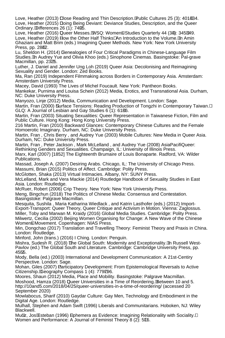Love, Heather (2013) Close Reading and Thin Description. Public Cultures 25 (3): 401434. Love, Heather (2015) Doing Being Deviant: Deviance Studies, Description, and the Oueer Ordinary. Differences 26 (1): 7495.

Love, Heather (2016) Queer Messes. WSQ: Womens Studies Quarterly 44 (34): 345349. Love, Heather (2019) How the Other Half Thinks: An Introduction to the Volume. In Amin Ghaziani and Matt Brim (eds.) Imagining Queer Methods. New York: New York University Press, pp. 2842.

Lu, Sheldon H. (2014) Genealogies of Four Critical Paradigms in Chinese-Language Film Studies. In Audrey Yue and Olivia Khoo (eds.) Sinophone Cinemas. Basingstoke: Pal-grave Macmillan, pp. 2325.

Luther, J. Daniel and Jennifer Ung Loh (2019) Queer Asia: Decolonising and Reimagining Sexuality and Gender. London: Zed Books.

Ma, Ran (2019) Independent Filmmaking across Borders in Contemporary Asia. Amsterdam: Amsterdam University Press.

Macey, David (1993) The Lives of Michel Foucault. New York: Pantheon Books.

Mankekar, Purnima and Louisa Schein (2012) Media, Erotics, and Transnational Asia. Durham, NC: Duke University Press.

Manyozo, Linje (2012) Media, Communication and Development. London: Sage.

Martin, Fran (2000) Surface Tensions: Reading Production of Tongzhi in Contemporary Taiwan. GLQ: A Journal of Lesbian and Gay Studies  $6(1)$ : 6186.

Martin, Fran (2003) Situating Sexualities: Queer Representation in Taiwanese Fiction, Film and Public Culture. Hong Kong: Hong Kong University Press.

216 Martin, Fran (2010) Backward Glances: Contemporary Chinese Cultures and the Female Homoerotic Imaginary. Durham, NC: Duke University Press.

Martin, Fran , Chris Berry , and Audrey Yue (2003) Mobile Cultures: New Media in Queer Asia. Durham, NC: Duke University Press.

Martin, Fran , Peter Jackson , Mark McLelland , and Audrey Yue (2008) AsiaPacifiQueer: Rethinking Genders and Sexualities. Champaign, IL: University of Illinois Press.

Marx, Karl (2007) [1852] The Eighteenth Brumaire of Louis Bonaparte. Radford, VA: Wilder Publications.

Massad, Joseph A. (2007) Desiring Arabs. Chicago, IL: The University of Chicago Press. Massumi, Brian (2015) Politics of Affect. Cambridge: Polity Press.

McGlotten, Shaka (2013) Virtual Intimacies. Albany, NY: SUNY Press.

McLelland, Mark and Vera Mackie (2014) Routledge Handbook of Sexuality Studies in East Asia. London: Routledge.

McRuer, Robert (2006) Crip Theory. New York: New York University Press.

Meng, Bingchun (2018) The Politics of Chinese Media: Consensus and Contestation. Basingstoke: Palgrave Macmillan.

Mesquita, Sushila , Maria Katharina Wiedlack , and Katrin Lasthofer (eds.) (2012) Import-Export-Transport: Queer Theory, Queer Critique and Activism in Motion. Vienna: Zaglossus. Miller, Toby and Marwan M. Kraidy (2016) Global Media Studies. Cambridge: Polity Press. Milwertz, Cecilia (2002) Beijing Women Organising for Change: A New Wave of the Chinese Womens Movement. Copenhagen: NIAS Press.

Min, Dongchao (2017) Translation and Travelling Theory: Feminist Theory and Praxis in China. London: Routledge.

Minford, John (trans.) (2016) I Ching. London: Penguin.

Mishra, Sudesh R. (2018) The Global South: Modernity and Exceptionality. In Russell West-Pavlov (ed.) The Global South and Literature. Cambridge: Cambridge University Press, pp. 4555.

Mody, Bella (ed.) (2003) International and Development Communication: A 21st-Centiry Perspective. London: Sage.

Mohan, Giles (2007) Participatory Development: From Epistemological Reversals to Active Citizenship. Geography Compass 1 (4): 779796.

Moores, Shaun (2012) Media, Place and Mobility. Basingstoke: Palgrave Macmillan. Moshood, Hamza (2018) Queer Universities in a Time of Reordering. Between 10 and 5. http://10and5.com/2018/04/25/queer-universities-in-a-time-of-reordering/ (accessed 20 September 2020)

Mowlabocus, Sharif (2010) Gaydar Culture: Gay Men, Technology and Embodiment in the Digital Age. London: Routledge.

Mulhall, Stephen and Adam Swift (1996) Liberals and Communitarians. Hoboken, NJ: Wiley Blackwell.

Muoz, Jos Esteban (1996) Ephemera as Evidence: Imagining Relationality with Sociality. Women and Performance: A Journal of Feminist Theory 8 (2): 516.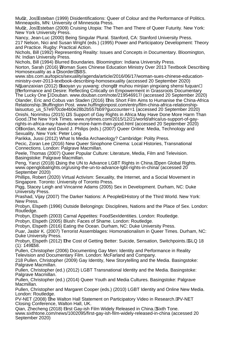Muoz, Jos Esteban (1999) Disidentifications: Queer of Colour and the Performance of Politics. Minneapolis, MN: University of Minnesota Press.

Muoz, Jos Esteban (2009) Cruising Utopia: The Then and There of Oueer Futurity. New York: New York University Press.

Nancy, Jean-Luc (2000) Being Singular Plural. Stanford, CA: Stanford University Press. 217 Nelson, Nici and Susan Wright (eds.) (1995) Power and Participatory Development: Theory and Practice. Rugby: Practical Action.

Nichols, Bill (1992) Representing Reality: Issues and Concepts in Documentary. Bloomington, IN: Indian University Press.

Nichols, Bill (1994) Blurred Boundaries. Bloomington: Indiana University Press.

Norton, Sarah (2016) Woman Sues Chinese Education Ministry Over 2013 Textbook Describing Homosexuality as a Disorder. SBS.

www.sbs.com.au/topics/sexuality/agenda/article/2016/06/17/woman-sues-chinese-educationministry-over-2013-textbook-describing-homosexuality (accessed 20 September 2020) Nguanzaixian (2012) Biaoyan yu yuwang: chonger muhou minjian yingxiang shensi fuguan [âPerformance and Desire: Reflecting Critically on Empowerment in Grassroots Documentary The Lucky One â]. Douban. www.douban.com/note/219546917/ (accessed 20 September 2020) Olander, Eric and Cobus van Staden (2016) This Short Film Aims to Humanise the China-Africa Relationship. Huffington Post. www.huffingtonpost.com/entry/film-china-africa-relationship-

laisuotuo us 57e970cde4b0e28b2b557bb9?guccounter=1 (accessed 20 September 2020) Onishi, Norimitsu (2015) US Support of Gay Rights in Africa May Have Done More Harm Than Good. The New York Times. www.nytimes.com/2015/12/21/world/africa/us-support-of-gayrights-in-africa-may-have-done-more-harm-than-good.html (accessed 20 September 2020) ORiordan, Kate and David J. Philips (eds.) (2007) Queer Online: Media, Technology and Sexuality. New York: Peter Long.

Parikka, Jussi (2012) What Is Media Archaeology? Cambridge: Polity Press.

Pecic, Zoran Lee (2016) New Queer Sinophone Cinema: Local Histories, Transnational Connections. London: Palgrave Macmillan.

Peele, Thomas (2007) Queer Popular Culture: Literature, Media, Film and Television. Basingstoke: Palgrave Macmillan.

Peng, Yanzi (2018) Using the UN to Advance LGBT Rights in China. Open Global Rights. www.openglobalrights.org/using-the-un-to-advance-lgbt-rights-in-china/ (accessed 20 September 2020)

Phillips, Robert (2020) Virtual Activism: Sexuality, the Internet, and a Social Movement in Singapore. Toronto: University of Toronto Press.

Pigg, Stacey Leigh and Vincanne Adams (2005) Sex in Development. Durham, NC: Duke University Press.

Prashad, Vijay (2007) The Darker Nations: A Peoples History of the Third World. New York: New Press.

Probyn, Elspeth (1996) Outside Belongings: Disciplines, Nations and the Place of Sex. London: Routledge.

Probyn, Elspeth (2003) Carnal Appetites: FoodSexIdentities. London: Routledge.

Probyn, Elspeth (2005) Blush: Faces of Shame. London: Routledge.

Probyn, Elspeth (2016) Eating the Ocean. Durham, NC: Duke University Press.

Puar, Jasbir K. (2007) Terrorist Assemblages: Homonationalism in Queer Times. Durham, NC: Duke University Press.

Probyn, Elspeth (2012) The Cost of Getting Better: Suicide, Sensation, Switchpoints. GLQ 18  $(1)$ : 149158.

Pullen, Christopher (2006) Documenting Gay Men: Identity and Performance in Reality Television and Documentary Film. London: McFarland and Company.

218 Pullen, Christopher (2009) Gay Identity, New Storytelling and the Media. Basingstoke: Palgrave Macmillan.

Pullen, Christopher (ed.) (2012) LGBT Transnational Identity and the Media. Basingstoke: Palgrave Macmillan.

Pullen, Christopher (ed.) (2014) Queer Youth and Media Cultures. Basingstoke: Palgrave Macmillan.

Pullen, Christopher and Margaret Cooper (eds.) (2010) LGBT Identity and Online New Media. London: Routledge.

PV-NET (2008) The Walton Hall Statement on Participatory Video in Research. PV-NET Closing Conference, Walton Hall, UK.

Qian, Zhecheng (2018) First Gay-ish Film Widely Released in China. Sixth Tone. www.sixthtone.com/news/1002095/first-gay-ish-film-widely-released-in-china (accessed 20 September 2020)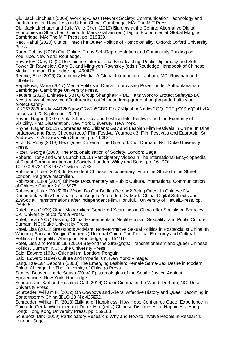Qiu, Jack Linchuan (2009) Working-Class Network Society: Communication Technology and the Information Have-Less in Urban China. Cambridge, MA: The MIT Press.

Qiu, Jack Linchuan and Julie Yuiie Chen (2019) Margins at the Centre: Alternative Digital Economies in Shenzhen, China. In Mark Graham (ed.) Digital Economies at Global Margins. Cambridge, MA: The MIT Press, pp. 319339.

Rao, Rahul (2020) Out of Time: The Queer Politics of Postcoloniality. Oxford: Oxford University Press.

Raun, Tobias (2016) Out Online: Trans Self-Representation and Community Building on YouTube. New York: Routledge.

Rawnsley, Gary D. (2015) Chinese International Broadcasting, Public Diplomacy and Soft Power. In Rawnsley, Gary D. and Ming-yeh Rawnsley (eds.) Routledge Handbook of Chinese Media. London: Routledge, pp. 460475.

Rennie, Ellie (2006) Community Media: A Global Introduction. Lanham, MD: Rowman and Littlefield.

Repnikova, Maria (2017) Media Politics in China: Improvising Power under Authoritarianism. Cambridge: Cambridge University Press.

Reuters (2020) Chinese LGBTQ Group ShanghaiPRIDE Halts Work to Protect Safety. NBC News. www.nbcnews.com/feature/nbc-out/chinese-lgbtq-group-shanghaipride-halts-workprotect-safety-

n1236728?fbclid=IwAR2kSguwtGRw2s5GBRrFqicZNJjasLbgNndxvCOQ\_CTEqKYSpVj0hHfxtA (accessed 20 September 2020)

Rhyne, Ragan (2007) Pink Dollars: Gay and Lesbian Film Festivals and the Economy of Visibility. PhD Dissertation. New York University, New York.

Rhyne, Ragan (2011) Comrades and Citizens: Gay and Lesbian Film Festivals in China. In Dina Iordanova and Ruby Cheung (eds.) Film Festival Yearbook 3: Film Festivals and East Asia. St Andrews: St Andrews Film Studies, pp. 110124.

Rich, B. Ruby (2013) New Queer Cinema: The Directors Cut. Durham, NC: Duke University Press.

Ritzer, George (2000) The McDonaldisation of Society. London: Sage.

Roberts, Tony and Chris Lunch (2015) Participatory Video. In The International Encyclopaedia of Digital Communication and Society. London: Wiley and Sons, pp. 16. DOI: 10.1002/9781118767771.wbiedcs148

Robinson, Luke (2013) Independent Chinese Documentary: From the Studio to the Street. London: Palgrave Macmillan.

Robinson, Luke (2014) Chinese Documentary as Public Culture. International Communication of Chinese Culture 2  $(1)$ : 6975.

Robinson, Luke (2015) To Whom Do Our Bodies Belong? Being Queer in Chinese DV Documentary. In Zhen Zhang and Angela Zito (eds.) DV Made China: Digital Subjects and 219Social Transformations after Independent Film. Honululu: University of Hawaiâi Press, pp. 289315.

Rofel, Lisa (1999) Other Modernities: Gendered Yearnings in China after Socialism. Berkeley, CA: University of California Press.

Rofel, Lisa (2007) Desiring China: Experiments in Neoliberalism, Sexuality, and Public Culture. Durham, NC: Duke University Press.

Rofel, Lisa (2013) Grassroots Activism: Non-Normative Sexual Politics in Postsocialist China. In Wanning Sun and Yingjie Guo (eds.) Unequal China: The Political Economy and Cultural Politics of Inequality. Abingdon: Routledge, pp. 154167.

Rofel, Lisa and Petrus Liu (2010) Beyond the Strai(gh)ts: Transnationalism and Queer Chinese Politics. Durham, NC: Duke University Press.

Said, Edward (1991) Orientalism. London: Penguin.

Said, Edward (1994) Culture and Imperialism. New York: Vintage.

Sang, Tze-Lan Deborah (2003) The Emerging Lesbian: Female Same-Sex Desire in Modern China. Chicago, IL: The University of Chicago Press.

Santos, Boaventura de Sousa (2014) Epistemologies of the South: Justice Against Epistemicide. New York: Routledge.

Schoonover, Karl and Rosalind Galt (2016) Queer Cinema in the World. Durham, NC: Duke University Press.

Schroeder, William F. (2012) On Cowboys and Aliens: Affective History and Queer Becoming in Contemporary China.  $GLO$  18 (4): 425452.

Schroeder, William F. (2018) Talking of Happiness: How Hope Configures Queer Experience in China. In Gerda Wielander and Derek Hird (eds.) Chinese Discourses on Happiness. Hong Kong: Hong Kong University Press, pp. 169188.

Schubotz, Dirk (2019) Participatory Research: Why and How to Involve People in Research. London: Sage.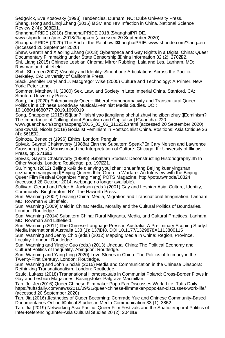Sedgwick, Eve Kosovsky (1993) Tendencies. Durham, NC: Duke University Press. Shang, Hong and Lingi Zhang (2015) MSM and HIV Infection in China. National Science Review 2 (4): 388â391.

ShanghaiPRIDE (2018) ShanghaiPRIDE 2018. ShanghaiPRIDE.

www.shpride.com/press2018/?lang=en (accessed 20 September 2020)

ShanghaiPRIDE (2020) The End of the Rainbow. ShanghaiPRIE. www.shpride.com/?lang=en (accessed 20 September 2020)

Shaw, Gareth and Xiaoling Zhang (2018) Cyberspace and Gay Rights in a Digital China: Queer Documentary Filmmaking under State Censorship. China Information 32 (2): 270292.

Shi, Liang (2015) Chinese Lesbian Cinema: Mirror Rubbing, Lala and Les. Lanham, MD: Rowman and Littlefield.

Shih, Shu-mei (2007) Visuality and Identity: Sinophone Articulations Across the Pacific. Berkeley, CA: University of California Press.

Slack, Jennifer Daryl and J. Macgregor Wise (2005) Culture and Technology: A Primer. New York: Peter Lang.

Sommer, Matthew H. (2000) Sex, Law, and Society in Late Imperial China. Stanford, CA: Stanford University Press.

Song, Lin (2020) Entertainingly Oueer: Illiberal Homonormativity and Transcultural Oueer Politics in a Chinese Broadway Musical. Feminist Media Studies. DOI:

10.1080/14680777.2019.1690019

Song, Shaopeng (2015) Nquan? Haishi yao jiangjiang shehui zhuyi he ziben zhuyi [Feminism? The Importance of Talking about Socialism and Capitalismâ]. Guancha. 220

www.guancha.cn/songshaopeng/2015\_03\_06\_311232.shtml (accessed 20 September 2020) Spakowski, Nicola (2018) Socialist Feminism in Postsocialist China. Positions: Asia Critique 26  $(4)$ : 561592.

Spinoza, Benedict (1996) Ethics. London: Penguin.

Spivak, Gayatri Chakravorty (1988a) Can the Subaltern Speak? In Cary Nelson and Lawrence Grossberg (eds.) Marxism and the Interpretation of Culture. Chicago, IL: University of Illinois Press, pp. 271313.

Spivak, Gayatri Chakravorty (1988b) Subaltern Studies: Deconstructing Historiography. In In Other Worlds. London: Routledge, pp. 197221.

Su, Yingru (2012) Beijing kuer de dianying youjizhan: zhuanfang Beijing kuer yingzhan cezhanren yangyang. [Beijing Queers Film Guerrilla Warfare: An Interview with the Beijing Queer Film Festival Organizer Yang Yang] POTS Magazine. http://pots.tw/node/10824 (accessed 28 October 2014, webpage no longer available).

Sullivan, Gerard and Peter A. Jackson (eds.) (2001) Gay and Lesbian Asia: Culture, Identity, Community. Binghamton, NY: The Haworth Press.

Sun, Wanning (2002) Leaving China: Media, Migration and Transnational Imagination. Lanham, MD: Rowman & Littlefield.

Sun, Wanning (2009) Maid in China: Media, Morality and the Cultural Politics of Boundaries. London: Routledge.

Sun, Wanning (2014) Subaltern China: Rural Migrants, Media, and Cultural Practices. Lanham, MD: Rowman and Littlefield.

Sun, Wanning (2011) The Chinese-Language Press in Australia: A Preliminary Scoping Study. Media International Australia 138 (1): 137â148. DOI:10.1177/1329878X1113800115

Sun, Wanning and Jenny Chio (eds.) (2012) Mapping Media in China: Region, Province, Locality. London: Routledge.

Sun, Wanning and Yingjie Guo (eds.) (2013) Unequal China: The Political Economy and Cultural Politics of Inequality. Abingdon: Routledge.

Sun, Wanning and Yang Ling (2020) Love Stories in China: The Politics of Intimacy in the Twenty-First Century. London: Routledge.

Sun, Wanning and John Sinclair (2015) Media and Communication in the Chinese Diaspora: Rethinking Transnationalism. London: Routledge.

Szulc, Lukasz (2018) Transnational Homosexuals in Communist Poland: Cross-Border Flows in Gay and Lesbian Magazines. Basingstoke: Palgrave Macmillan.

Tan, Jei-Jei (2016) Queer Chinese Filmmaker Popo Fan Discusses Work, Life. Tufts Daily. https://tuftsdaily.com/news/2016/09/21/queer-chinese-filmmaker-popo-fan-discusses-work-life/ (accessed 20 September 2020)

Tan, Jia (2016) Aesthetics of Queer Becoming: Comrade Yue and Chinese Community-Based Documentaries Online. Critical Studies in Media Communication 33 (1): 3852.

Tan, Jia (2019) Networking Asia Pacific: Queer Film Festivals and the Spatiotemporal Politics of Inter-Referencing. Inter-Asia Cultural Studies 20 (2): 204219.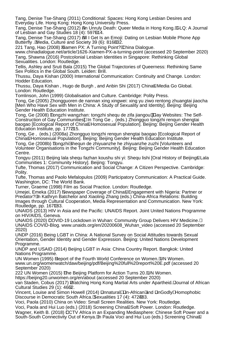Tang, Denise Tse-Shang (2011) Conditional: Spaces: Hong Kong Lesbian Desires and Everyday Life. Hong Kong: Hong Kong University Press.

Tang, Denise Tse-Shang (2012) An Unruly Death: Queer Media in Hong Kong, GLO: A Journal of Lesbian and Gay Studies 18 (4): 597614.

Tang, Denise Tse-Shang (2017) All I Get Is an Emoji: Dating on Lesbian Mobile Phone App Butterfly . Media, Culture and Society 39 (6): 816832.

221 Tang, Hao (2008) Xiamen PX: A Turning Point? China Dialogue.

www.chinadialogue.net/article/1626-Xiamen-PX-a-turning-point (accessed 20 September 2020) Tang, Shawna (2016) Postcolonial Lesbian Identities in Singapore: Rethinking Global Sexualities. London: Routledge.

Tellis, Ashley and Sruti Bala (2015) The Global Trajectories of Queerness: Rethinking Same Sex Politics in the Global South. Leiden: Brill.

Thussu, Daya Kishan (2000) International Communication: Continuity and Change. London: Hodder Education.

Thussu, Daya Kishan , Hugo de Burgh , and Anbin Shi (2017) Chinaâs Media Go Global. London: Routledge.

Tomlinson, John (1999) Globalisation and Culture. Cambridge: Polity Press.

Tong, Ge (2005) Zhongguoren de nannan xing xingwei: xing yu ziwo rentong zhuangtai jiaocha [Men Who Have Sex with Men in China: A Study of Sexuality and Identity]. Beijing: Beijing Gender Health Education Institute.

Tong, Ge (2008) Tongzhi wangzhan: tongzhi shequ de zifa jiangou [Gay Websites: The Self-Construction of Gay Communities]. In Tong Ge, (eds.) Zhongguo tongzhi renqun shengtai baogao [Ecological Report of Chinaâs Homosexual Population]. Beijing: Beijing Gender Health Education Institute, pp. 177215.

Tong, Ge , (eds.) (2008a) Zhongguo tongzhi renqun shengtai baogao [Ecological Report of Chinaâs Homosexual Population]. Beijing: Beijing Gender Health Education Institute.

Tong, Ge (2008b) Tongzhi shegun de zhiyuanzhe he zhiyuanzhe zuzhi [Volunteers and Volunteer Organisations in the Tongzhi Community]. Beijing: Beijing Gender Health Education Centre.

Tongyu (2011) Beijing lala shequ fazhan koushu shi yi: Shequ lishi [Oral History of Beijingâs Lala Communities 1: Community History]. Beijing: Tongyu.

Tufte, Thomas (2017) Communication and Social Change: A Citizen Perspective. Cambridge: Polity.

Tufte, Thomas and Paolo Mefalopulos (2009) Participatory Communication: A Practical Guide. Washington, DC: The World Bank.

Turner, Graeme (1998) Film as Social Practice. London: Routledge.

Umejei, Emeka (2017) Newspaper Coverage of Chinas Engagement with Nigeria: Partner or Predator? In Kathryn Batchelor and Xiaoling Zhang (eds.) China-Africa Relations: Building Images through Cultural Cooperation, Media Representation and Communication. New York: Routledge,  $pp. 167183$ .

UNAIDS (2013) HIV in Asia and the Pacific: UNAIDS Report. Joint United Nations Programme on HIV/AIDS, Geneva.

UNAIDS (2020) COVID-19 Lockdown in Wuhan: Community Group Delivers HIV Medicine. UNAIDS COVID-Blog. www.unaids.org/en/20200608\_Wuhan\_video (accessed 20 September 2020)

UNDP (2016) Being LGBT in China: A National Survey on Social Attitudes towards Sexual Orientation, Gender Identity and Gender Expression. Beijing: United Nations Development Programme.

UNDP and USAID (2014) Beijing LGBT in Asia: China Country Report. Bangkok: United Nations Programme.

UN Women (1995) Report of the Fourth World Conference on Women. UN Women. www.un.org/womenwatch/daw/beijing/pdf/Beijing%20full%20report%20E.pdf (accessed 20 September 2020)

222 UN Women (2015) The Beijing Platform for Action Turns 20. UN Women.

https://beijing20.unwomen.org/en/about (accessed 20 September 2020)

van Staden, Cobus (2017) Watching Hong Kong Martial Arts under Apartheid. Journal of African Cultural Studies  $29(1)$ : 4662.

Vincent, Louise and Simon Howell (2014) Unnatural, Un-African and UnGodly: Homophobic Discourse in Democratic South Africa. Sexualities 17 (4): 472483.

Voci, Paola (2010) China on Video: Small Screen Realities. New York: Routledge.

Voci, Paola and Hui Luo (eds.) (2018) Screening Chinas Soft Power. London: Routledge. Wagner, Keith B. (2018) CCTV Africa in an Expanding Mediasphere: Chinese Soft Power and a South-South Connectivity Out of Kenya. In Paula Voci and Hui Luo (eds.) Screening Chinas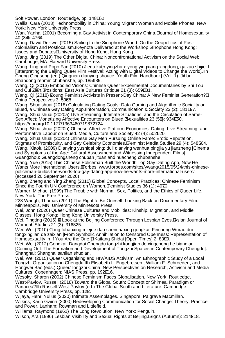Soft Power. London: Routledge, pp. 148162.

Wallis, Cara (2013) Technomobility in China: Young Migrant Women and Mobile Phones. New York: New York University Press.

Wan, Yanhai (2001) Becoming a Gay Activist in Contemporary China. Journal of Homosexuality 40 (3â4): 47â64.

Wang, David Der-wei (2015) Sailing to the Sinophone World: On the Geopolitics of Postcolonialism and Postlocalism. Keynote Delivered at the Workshop Sinophone Hong Kong: Issues and Debates. University of Hong Kong, Hong Kong.

Wang, Jing (2019) The Other Digital China: Nonconfrontational Activism on the Social Web. Cambridge, MA: Harvard University Press.

Wang, Ling and Popo Fan (2010) Jiedu kuer yingzhan: yong yingxiang xingdong, gaizao shijie [Interpreting the Beijing Queer Film Festival: Acting with Digital Videos to Change the World]. In Cheng Qingsong (ed.) Qingnian dianying shouce [Youth Film Handbook] (Vol. 1). Jinan: Shandong renmin chubanshe, pp. 185189.

Wang, Oi (2013) Embodied Visions: Chinese Oueer Experimental Documentaries by Shi Tou and Cui Zien. Positions: East Asia Cultures Critique 21 (3): 659681.

Wang, Qi (2018) Young Feminist Activists in Present-Day China: A New Feminist Generation? China Perspectives 3: 5968.

Wang, Shuaishuai (2018) Calculating Dating Goals: Data Gaming and Algorithmic Sociality on Blued, a Chinese Gay Dating App. Information, Communication & Society 23 (2): 181197. Wang, Shuaishuai (2020a) Live Streaming, Intimate Situations, and the Circulation of Same-Sex Affect: Monetizing Affective Encounters on Blued. Sexualities 23 (56): 934950. https://doi.org/10.1177/1363460719872724

Wang, Shuaishuai (2020b) Chinese Affective Platform Economies: Dating, Live Streaming, and Performative Labour on Blued. Media, Culture and Society 42 (4): 502520.

Wang, Shuaishuai (2020c) Chinese Gay Men Pursuing Online Fame: Erotic Reputation, Stigmas of Promiscuity, and Gay Celebrity Economies. Feminist Media Studies 29 (4): 548564. Wang, Xiaolu (2009) Dianying yushidai bing: duli dianying wenhua pingjia yu jianzheng [Cinema and Symptoms of the Age: Cultural Assessment and Witnessing Independent Films]. Guangzhou: Guangdongsheng chuban jituan and huacheng chubanshe.

Wang, Yue (2015) This Chinese Policeman Built the Worlds Top Gay Dating App, Now He Wants More International Users. Forbes. www.forbes.com/sites/ywang/2015/05/24/this-chinesepoliceman-builds-the-worlds-top-gay-dating-app-now-he-wants-more-international-users/ (accessed 20 September 2020)

Wang, Zheng and Ying Zhang (2010) Global Concepts, Local Practices: Chinese Feminism Since the Fourth UN Conference on Women. Feminist Studies 36 (1): 4070.

Warner, Michael (1999) The Trouble with Normal: Sex, Politics, and the Ethics of Queer Life. New York: The Free Press.

223 Waugh, Thomas (2011) The Right to Be Oneself: Looking Back on Documentary Film. Minneapolis, MN: University of Minnesota Press.

Wei, John (2020) Queer Chinese Cultures and Mobilities: Kinship, Migration, and Middle Classes. Hong Kong: Hong Kong University Press.

Wei, Tingting (2015) A Look at the Beijing Conference Through Lesbian Eyes. Asian Journal of Womens Studies 21 (3): 316325.

Wei, Wei (2010) Cong fuhaoxing miejue dao shenchaxing gongkai: Feicheng Wurao dui tongxinglian de zaixian [From Symbolic Annihilation to Censored Openness: Representation of Homosexuality in If You Are the One ]. Kaifang Shidai [Open Times] 2: 8399.

Wei, Wei (2012) Gongkai: Dangdai Chengdu tongzhi kongjian de xingcheng he bianqian [Coming Out: The Formation and Development of Tongzhi Spaces in Contemporary Chengdu]. Shanghai: Shanghai sanlian shudian.

Wei, Wei (2015) Queer Organising and HIV/AIDS Activism: An Ethnographic Study of a Local Tongzhi Organisation in Chengdu. In Elisabeth L. Engebretsen, William F. Schroeder, and Hongwei Bao (eds.) Queer/Tongzhi China: New Perspectives on Research, Activism and Media Cultures. Copenhagen: NIAS Press, pp. 192216.

Wesoky, Sharon (2002) Chinese Feminism Faces Globalisation. New York: Routledge. West-Pavlov, Russell (2018) Toward the Global South: Concept or Shimea, Paradigm or Panacea? In Russell West-Pavlov (ed.) The Global South and Literature. Cambridge: Cambridge University Press, pp. 122.

Wijaya, Henri Yulius (2020) Intimate Assemblages. Singapore: Palgrave Macmillan. Wilkins, Karin Gwinn (2000) Redeveloping Communication for Social Change: Theory, Practice and Power. Lanham: Rowman and Littlefield.

Williams, Raymond (1961) The Long Revolution. New York: Penguin.

Wilson, Ara (1996) Lesbian Visibility and Sexual Rights at Beijing. Signs (Autumn): 214218.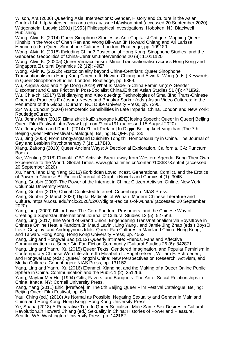Wilson, Ara (2006) Oueering Asia. Intersections: Gender, History and Culture in the Asian Context 14. http://intersections.anu.edu.au/issue14/wilson.html (accessed 20 September 2020) Wittgenstein, Ludwig (2001) [1953] Philosophical Investigations. Hoboken, NJ: Blackwell Publishing.

Wong, Alvin K. (2014) Queer Sinophone Studies as Anti-Capitalist Critique: Mapping Oueer Kinship in the Work of Chen Ran and Wong Bik-wan. In Howard Chiang and Ari Larissa Heinrich (eds.) Queer Sinophone Cultures. London: Routledge, pp. 109129.

Wong, Alvin K. (2018) Including China? Postcolonial Hong Kong, Sinophone Studies, and the Gendered Geopolitics of China-Centrism. Interventions 20 (8): 11011120.

Wong, Alvin K. (2020a) Oueer Vernacularism: Minor Transnationalism across Hong Kong and Singapore. Cultural Dynamics 32 (12): 4967.

Wong, Alvin K. (2020b) Postcoloniality beyond China-Centrism: Queer Sinophone Transnationalism in Hong Kong Cinema. In Howard Chiang and Alvin K. Wong (eds.) Keywords

in Queer Sinophone Studies. London: Routledge, pp. 6379.

Wu, Angela Xiao and Yige Dong (2019) What Is Made-in-China Feminism(s)? Gender Discontent and Class Friction in Post-Socialist China. Critical Asian Studies 51 (4): 471492.

Wu, Chia-chi (2017) Wei dianying and Xiao quexing: Technologies of Small and Trans-Chinese Cinematic Practices. In Joshua Neves and Bhaskar Sarkar (eds.) Asian Video Cultures: In the

Penumbra of the Global. Durham, NC: Duke University Press, pp. 7290. 224 Wu, Cuncun (2004) Homoerotic Sensibilities in Late Imperial China. London and New York: RoutledgeCurzon.

Wu. Jenny Man (2015) Bimu zhici: kuer zhongde kuer [Closing Speech: Queer in Queer] Beijing Queer Film Festival. http://www.bjqff.com/?cat=191 (accessed 15 August 2020).

Wu, Jenny Man and Dan Li (2014) Zhici. [Preface] In Diqijie Beijing kuer yingzhan [The 7th Beijing Queer Film Festival Catalogue]. Beijing: BJQFF, pp. 23.

Wu, Jing (2003) From Longyang and Duishi to Tongzhi: Homosexuality in China. The Journal of Gay and Lesbian Psychotherapy 7 (1): 117143.

Xiang, Zairong (2018) Queer Ancient Ways: A Decolonial Exploration. California, CA: Punctum Books.

Xie, Wenting (2018) Chinas LGBT Activists Break away from Western Agenda, Bring Their Own Experience to the World. Global Times. www.globaltimes.cn/content/1086373.shtml (accessed 20 September 2020)

Xu, Yanrui and Ling Yang (2013) Forbidden Love: Incest, Generational Conflict, and the Erotics of Power in Chinese BL Fiction. Journal of Graphic Novels and Comics 4 (1): 3043.

Yang, Guobin (2009) The Power of the Internet in China: Citizen Activism Online. New York: Columbia University Press.

Yang, Guobin (2015) Chinas Contested Internet. Copenhagen: NIAS Press.

Yang, Guobin (2 March 2020) Digital Radicals of Wuhan. Modern Chinese Literature and Culture. https://u.osu.edu/mclc/2020/02/07/digital-radicals-of-wuhan/ (accessed 20 September 2020)

Yang, Ling (2009) All for Love: The Corn Fandom, Prosumers, and the Chinese Way of Creating a Superstar. International Journal of Cultural Studies 12 (5): 527543.

Yang, Ling (2017) The World of Grand Union: Engendering Trans/nationalism via Boys Love in Chinese Online Hetalia Fandom. In Maud Lavin, Ling Yang, and Jamie Jing Zhao (eds.) Boys Love, Cosplay, and Androgynous Idols: Queer Fan Cultures in Mainland China, Hong Kong, and Taiwan. Hong Kong: Hong Kong University Press, pp. 4562.

Yang, Ling and Hongwei Bao (2012) Queerly Intimate: Friends, Fans and Affective

Communication in a Super Girl Fan Fiction Community. Cultural Studies 26 (6): 842871. Yang, Ling and Yanrui Xu (2015) Oueer Texts, Gendered Imagination, and Popular Feminism in Contemporary Chinese Web Literature. In Elisabeth L. Engebretsen, William F. Schroeder, and Hongwei Bao (eds.) Queer/Tongzhi China: New Perspectives on Research, Activism, and

Media Cultures. Copenhagen: NIAS Press, pp. 131152.

Yang, Ling and Yanrui Xu (2016) Danmei, Xianqing, and the Making of a Queer Online Public Sphere in China. Communication and the Public  $1$  (2): 251256.

Yang, Mayfair Mei-Hui (1994) Gifts, Favors, and Banquets: The Art of Social Relationships in China. Ithaca, NY: Cornell University Press.

Yang, Yang (2011) Zhici [Preface]. In The 5th Beijing Queer Film Festival Catalogue. Beijing: Beijing Queer Film Festival, pp. 67.

Yau, Ching (ed.) (2010) As Normal as Possible: Negating Sexuality and Gender in Mainland China and Hong Kong. Hong Kong: Hong Kong University Press.

Ye, Shana (2018) A Reparative Turn to Queer Socialism: Male Same-Sex Desires in Cultural Revolution. In Howard Chiang (ed.) Sexuality in China: Histories of Power and Pleasure. Seattle, WA: Washington University Press, pp. 142162.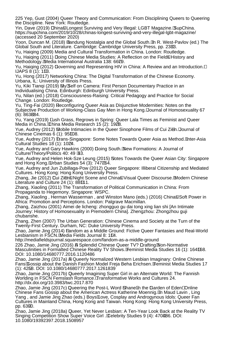225 Yep, Gust (2004) Queer Theory and Communication: From Disciplining Queers to Queering the Discipline. New York: Routledge.

Yin, Dave (2019) Chinas Longest Surviving and Very Illegal: LGBT Magazine, SupChina. https://supchina.com/2019/10/28/chinas-longest-surviving-and-very-illegal-lgbt-magazine/ (accessed 20 September 2020)

Yoon, Duncan M. (2018) Bandung Nostalgia and the Global South. In R. West-Pavlov (ed.) The Global South and Literature. Cambridge: Cambridge University Press, pp. 23â33.

Yu, Haiqing (2009) Media and Cultural Transformation in China. London: Routledge. Yu, Haiging (2011) Doing Chinese Media Studies: A Reflection on the Fields History and Methodology. Media International Australia 138: 6679.

Yu, Haiging (2012) Governing and Representing HIV in China: A Review and an Introduction.  $IJAPS 8(1)$ : 113.

Yu, Hong (2017) Networking China: The Digital Transformation of the Chinese Economy. Urbana, IL: University of Illinois Press.

Yu, Kiki Tianqi (2019) My Self on Camera: First Person Documentary Practice in an Individualising China. Edinburgh: Edinburgh University Press.

Yu, Nilan (ed.) (2018) Consciousness-Raising: Critical Pedagogy and Practice for Social Change. London: Routledge.

Yu, Ting-Fai (2020) Reconfiguring Queer Asia as Disjunctive Modernities: Notes on the Subjective Production of Working-Class Gay Men in Hong Kong. Journal of Homosexuality 67 (6): 863â884.

Yu, Yang (2019) Lush Grass, Regrows in Spring: Queer Lala Times as Feminist and Queer Media in China. China Media Research 15 (2): 1928.

Yue, Audrey (2012) Mobile Intimacies in the Queer Sinophone Films of Cui Zien. Journal of Chinese Cinemas  $6(1)$ : 95108.

Yue, Audrey (2017) Trans-Singapore: Some Notes Towards Queer Asia as Method. Inter-Asia Cultural Studies 18 (1): 1024.

Yue, Audrey and Gary Hawkins (2000) Going South. New Formations: A Journal of Culture/Theory/Politics 40: 49 63.

Yue, Audrey and Helen Hok-Sze Leung (2015) Notes Towards the Queer Asian City: Singapore and Hong Kong. Urban Studies 54 (3): 747764.

Yue, Audrey and Jun Zubillaga-Pow (2012) Queer Singapore: Illiberal Citizenship and Mediated Cultures. Hong Kong: Hong Kong University Press.

Zhang, Jie (2012) Cui Ziens Night Scene and Chinas Visual Queer Discourse. Modern Chinese Literature and Culture  $24$  (1):  $88111$ .

Zhang, Xiaoling (2011) The Transformation of Political Communication in China: From Propaganda to Hegemony. Singapore: WSPC.

Zhang, Xiaoling , Herman Wasserman , and Winston Mano (eds.) (2016) Chinas Soft Power in Africa: Promotion and Perceptions. London: Palgrave Macmillan.

Zhang, Zaizhou (2001) Aimei de licheng: zhongguo gu dai tong xing lian shi [An Intimate Journey: History of Homosexuality in Premodern China]. Zhengzhou: Zhongzhou guji chubanshe.

Zhang, Zhen (2007) The Urban Generation: Chinese Cinema and Society at the Turn of the Twenty-First Century. Durham, NC: Duke University Press.

Zhao, Jamie Jing (2014) Fandom as a Middle Ground: Fictive Oueer Fantasies and Real-World Lesbianism in FSCN. Media Fields Journal 8: 114.

http://mediafieldsjournal.squarespace.com/fandom-as-a-middle-ground

226 Zhao, Jamie Jing (2016) A Splendid Chinese Queer TV? Crafting Non-Normative Masculinities in Formatted Chinese Reality TV Shows. Feminist Media Studies 16 (1): 164168. DOI: 10.1080/14680777.2016.1120486

Zhao, Jamie Jing (2017a) A Queerly Normalized Western Lesbian Imaginary: Online Chinese Fans Gossip about the Danish Fashion Model Freja Beha Erichsen. Feminist Media Studies 17 (1): 42â58. DOI: 10.1080/14680777.2017.1261839

Zhao, Jamie Jing (2017b) Queerly Imagining Super Girl in an Alternate World: The Fannish Worlding in FSCN Femslash Romance. Transformative Works and Cultures 24. http://dx.doi.org/10.3983/twc.2017.870

Zhao, Jamie Jing (2017c) Queering the Post-L Word Shane in the Garden of Eden: Online Chinese Fans Gossip about the American Actress Katherine Moennig. In Maud Lavin, Ling Yang, and Jamie Jing Zhao (eds.) Boys Love, Cosplay and Androgynous Idols: Queer Fan Cultures in Mainland China, Hong Kong and Taiwan. Hong Kong: Hong Kong University Press, pp. 6390.

Zhao, Jamie Jing (2018a) Queer, Yet Never Lesbian: A Ten-Year Look Back at the Reality TV Singing Competition Show Super Voice Girl . Celebrity Studies 9 (4): 470486. DOI: 10.1080/19392397.2018.1508957